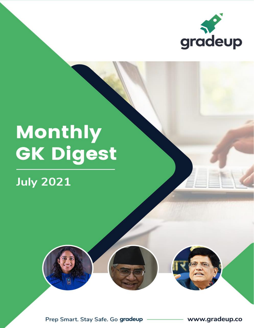

# **Monthly<br>GK Digest**

# **July 2021**



www.gradeup.co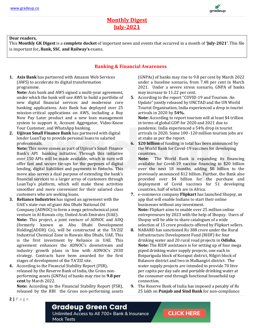

#### **Monthly Digest July-2021**

#### **Dear readers,**

This **Monthly GK Digest** is a **complete docket** of important news and events that occurred in a month of **'July-2021'**. This file is important for**, Bank, SSC**, **and Railway's** exams.

#### **Banking & Financial Awareness**

**1. Axis Bank** has partnered with Amazon Web Services (AWS) to accelerate its digital transformation programme.

**Note:** Axis bank and AWS signed a multi-year agreement, under which the bank will use AWS to build a portfolio of new digital financial services and modernise core banking applications. Axis Bank has deployed over 25 mission-critical applications on AWS, including a Buy Now Pay Later product and a new loan management system to support it, Account Aggregator, Video-Know Your Customer, and WhatsApp banking.

**2. Ujjivan Small Finance Bank** has partnered with digital lender LoanTap to provide personal loans to salaried professionals.

**Note:** This move comes as part of Ujjivan's Small Finance Bank's API banking initiative. Through this initiative over 150 APIs will be made available, which in turn will offer fast and secure tie-ups for the purposes of digital lending, digital liabilities and payments to fintechs. This move also serves a dual purpose of extending the bank's financial services to a larger array of customers through LoanTap's platform, which will make these activities smoother and more convenient for their salaried class customers who are seeking loans.

- **3. Reliance Industries** has signed an agreement with the UAE's state-run oil giant Abu Dhabi National Oil Company (ADNOC) to form a mega petrochemical joint venture in Al Ruwais city, United Arab Emirates (UAE). **Note:** This project, a joint venture of ADNOC and ADQ (formerly known as Abu Dhabi Development Holding(ADDH) Co), will be constructed at the TA'ZIZ Industrial Chemical Zone in Ruwais Abu Dhabi, UAE. This is the first investment by Reliance in UAE. This agreement enhances the ADNOC's downstream and industry growth plans in line with ADNOC's 2030 strategy. Contracts have been awarded for the first stages of development of the TA'ZIZ site.
- **4.** According to the Financial Stability Report (FSR), released by the Reserve Bank of India, the Gross nonperforming assets (GNPAs) of banks may rise to **9.8 per cent** by March 2022.

**Mock Tests** 

**Note:** According to the Financial Stability Report (FSR), released by the RBI the Gross non-performing assets (GNPAs) of banks may rise to 9.8 per cent by March 2022 under a baseline scenario, from 7.48 per cent in March 2021. Under a severe stress scenario, GNPA of banks may increase to 11.22 per cent.

- **5.** According to the report "COVID-19 and Tourism: An Update" jointly released by UNCTAD and the UN World Tourist Organisation, India experienced a drop in tourist arrivals in 2020 by **54%. Note:** According to report tourism will at least \$4 trillion in terms of global GDP for 2020 and 2021 due to pandemic. India experienced a 54% drop in tourist arrivals in 2020. Some 100 -120 million tourism jobs are at stake as per the report.
- **6. \$20 billion** of funding in total has been announced by the World Bank for Covid-19 vaccines for developing countries.

**Note:** The World Bank is expanding its financing available for Covid-19 vaccine financing to \$20 billion over the next 18 months, adding \$8 billion to the previously announced \$12 billion. Further, the Bank also provided over \$4 billion for the purchase and deployment of Covid vaccines for 51 developing countries, half of which are in Africa.

- **7.** e-commerce company **Flipkart** has launched Shopsy, an app that will enable Indians to start their online businesses without any investment. **Note:** Flipkart aims to enable over 25 million online entrepreneurs by 2023 with the help of Shopsy. Users of Shopsy will be able to share catalogues of a wide selection of 15 crore products offered by Flipkart sellers.
- **8.** NABARD has sanctioned Rs 388 crore under the Rural Infrastructure Development Fund (RIDF) for four drinking water and 20 rural road projects in **Odisha. Note:** The RIDF assistance is for setting up of four mega piped drinking water supply projects, one each in Boipariguda block of Koraput district, Nilgiri block of Balasore district and two in Malkangiri district. The water supply projects are intended to provide 70 litre per capita per day safe and portable drinking water at the consumer-end through functional household tap connection.
- **9.** The Reserve Bank of India has imposed a penalty of Rs 25 lakh on **Punjab and Sind Bank** for non-compliance

#### **Gradeup Green Card** Unlimited Access to All 700+ Bank & Insurance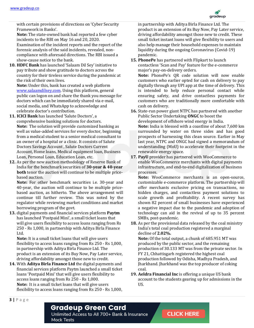

with certain provisions of directions on 'Cyber Security Framework in Banks'.

**Note:** The state-owned bank had reported a few cyber incidents to the RBI on May 16 and 20, 2020. Examination of the incident reports and the report of the forensic analysis of the said incidents, revealed, noncompliance with aforesaid directions. The RBI issued a show-cause notice to the bank.

**10. HDFC Bank** has launched 'Salaam Dil Sey' initiative to pay tribute and show gratitude to doctors across the country for their tireless service during the pandemic at the risk of their own lives.

**Note:** Under this, bank has created a web platform [www.salaamdilsey.com.](http://www.salaamdilsey.com/) Using this platform, general public can logon on and share the thank you message for doctors which can be immediately shared via e-mail, social media, and WhatsApp to acknowledge and celebrate doctor's contribution.

- **11. ICICI Bank** has launched 'Salute Doctors', a comprehensive banking solutions for doctors. **Note:** The solution will provide customized banking as well as value-added services for every doctor, beginning from a medical student to a senior medical consultant to an owner of a hospital or a clinic. It consists of Salute Doctors Savings Account , Salute Doctors Current Account, Home loans, Medical equipment loan, Business Loan, Personal Loan, Education Loan, etc.
- **12.** As per the new auction methodology of Reserve Bank of India for the benchmark securities of **30-year & 40-year both** tenor the auction will continue to be multiple pricebased auction.

**Note:** For other benchmark securities i.e. 30-year and 40-year, the auction will continue to be multiple pricebased auction, as hitherto. The above arrangement will continue till further review. This was noted by the regulator while reviewing market conditions and market borrowing program of the govt.

**13.** digital payments and financial services platform **Paytm** has launched 'Postpaid Mini', a small ticket loans that will give users flexibility to access loans ranging from Rs 250 - Rs 1,000, in partnership with Aditya Birla Finance Ltd.

**Note:** It is a small ticket loans that will give users flexibility to access loans ranging from Rs 250 - Rs 1,000, in partnership with Aditya Birla Finance Ltd. The product is an extension of its Buy Now, Pay Later service, driving affordability amongst those new to credit.

**14.** With **Aditya Birla Finance Ltd** the digital payments and financial services platform Paytm launched a small ticket loans 'Postpaid Mini' that will give users flexibility to access loans ranging from Rs 250 - Rs 1,000. **Note:** It is a small ticket loans that will give users flexibility to access loans ranging from Rs 250 - Rs 1,000,

in partnership with Aditya Birla Finance Ltd. The product is an extension of its Buy Now, Pay Later service, driving affordability amongst those new to credit. These small ticket instant loans will give flexibility to users and also help manage their household expenses to maintain liquidity during the ongoing Coronavirus (Covid-19) pandemic.

**15. PhonePe** has partnered with Flipkart to launch contactless 'Scan and Pay' feature for the e-commerce major's pay-on-delivery orders.

**Note:** PhonePe's QR code solution will now enable customers who earlier opted for cash on delivery to pay digitally through any UPI app at the time of delivery. This is intended to help reduce personal contact while ensuring safety, and drive contactless payments for customers who are traditionally more comfortable with cash on delivery.

**16.** State-run power giant NTPC has partnered with another Public Sector Undertaking **ONGC** to boost the development of offshore wind energy in India. **Note:** India is blessed with a coastline of about 7,600 km surrounded by water on three sides and has good prospects of harnessing this clean source. Earlier in May last year, NTPC and ONGC had signed a memorandum of understanding (MoU) to accelerate their footprint in the

**17. PayU** provider has partnered with WooCommerce to enable WooCommerce merchants with digital payments infrastructure, and end-to-end digitalization of business processes.

renewable energy space.

**Note:** WooCommerce merchants is an open-source, customizable e-commerce platform. The partnership will offer merchants exclusive pricing on transactions, no hidden charges, and contactless payment solutions to scale growth and profitability. A recent survey has shown 82 percent of small businesses have experienced a negative impact due to the pandemic and adoption of technology can aid in the revival of up to 35 percent SMBs, post-pandemic.

**18.** As per the provisional data released by the coal ministry India's total coal production registered a marginal decline of **2.02%.**

**Note:** Of the total output, a chunk of 685.951 MT was produced by the public sector, and the remaining production of 30.133 MT was from the private sector. In FY 21, Chhattisgarh registered the highest coal production followed by Odisha, Madhya Pradesh, and Jharkhand. Jharkhand was the top producer of coking coal.

**19. Aeldra Financial Inc** is offering a unique US bank account to the students gearing up for admissions in the  $\overline{U}$ 

#### **3 |** P a g e

**Gradeup Green Card** 

Unlimited Access to All 700+ Bank & Insurance **Mock Tests**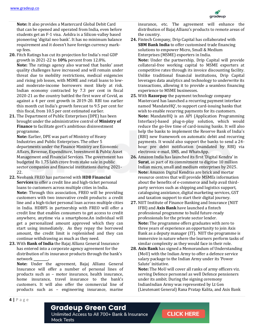

**Note:** It also provides a Mastercard Global Debit Card that can be opened and operated from India, even before students get an F-1 visa. Aeldra is a Silicon-valley based pioneering 'digital neo bank'. It has no minimum balance requirement and it doesn't have foreign currency markup fees.

- **20.** Fitch Ratings has cut its projection for India's real GDP growth in 2021-22 to **10%** percent from 12.8%. **Note:** The ratings agency also warned that banks' asset quality challenges have increased and will remain under threat due to mobility restrictions, medical exigencies and rising job losses, with MSME and retail loans to lowand moderate-income borrowers most likely at risk. Indian economy contracted by 7.3 per cent in fiscal 2020-21 as the country battled the first wave of Covid, as against a 4 per cent growth in 2019-20. RBI too earlier this month cut India's growth forecast to 9.5 per cent for this fiscal, from 10.5 per cent estimated earlier.
- **21.** The Department of Public Enterprises (DPE) has been brought under the administrative control of **Ministry of Finance** to facilitate govt's ambitious disinvestment programme.

**Note:** Earlier, DPE was part of Ministry of Heavy Industries and Public Enterprises. The other 5 departments under the Finance Ministry are Economic Affairs, Revenue, Expenditure, Investment & Public Asset Management and Financial Services. The government has budgeted Rs 1.75 lakh crore from stake sale in public sector companies and financial institutions during 2021- 22.

- **22.** Neobank FREO has partnered with **HDB Financial Services** to offer a credit line and high-ticket personal loans to customers across multiple cities in India. **Note:** Through this association, FREO will be providing customers with two innovative credit products: a credit line and a high-ticket personal loan across multiple cities in India. HDBFS in partnership with FREO will offer a credit line that enables consumers to get access to credit anywhere, anytime via a smartphone.An individual will get a personalized amount approved which they can start using immediately. As they repay the borrowed amount, the credit limit is replenished and they can continue withdrawing as much as they need.
- **23.** With **Bank of India** the Bajaj Allianz General Insurance has entered into a corporate agency agreement for the distribution of its insurance products through the bank's network **\_\_\_\_\_\_\_\_\_.**

**Note:** Under the agreement, Bajaj Allianz General Insurance will offer a number of personal lines of products such as – motor insurance, health insurance, home insurance, travel insurance to the bank's customers. It will also offer the commercial line of products such as – engineering insurance, marine

insurance, etc. The agreement will enhance the distribution of Bajaj Allianz's products to remote areas of the country.

- **24.** Fintech Company, Drip Capital has collaborated with **SBM Bank India** to offer customised trade financing solutions to empower Micro, Small & Medium Enterprises (MSME) exporters in India. **Note:** Under the partnership, Drip Capital will provide collateral-free working capital to MSME exporters at competitive rates through its invoice discounting facility. Unlike traditional financial institutions, Drip Capital leverages data analytics and technology to underwrite its transactions, allowing it to provide a seamless financing experience to MSME businesses.
- **25.** With **Razorpay** the payment technology company Mastercard has launched a recurring payment interface named 'MandateHQ', to support card-issuing banks that wish to enable recurring payments for its customers. **Note:** MandateHQ is an API (Application Programming Interface)-based plug-n-play solution, which would reduce the go-live time of card-issuing banks. It will also help the banks to implement the Reserve Bank of India's (RBI) new framework on automatic debit and recurring payments. It would also support the banks to send a 24 hour pre debit notification (mandated by RBI) via electronic e-mail, SMS, and WhatsApp.
- **26.** Amazon India has launched its first 'Digital Kendra' in **Surat**, as part of its commitment to digitise 10 million Indian micro, small and medium enterprises by 2025. **Note:** Amazon Digital Kendras are brick and mortar resource centres that will provide MSMEs information about the benefits of e-commerce and help avail thirdparty services such as shipping and logistics support, cataloguing assistance, digital marketing services, GST and taxation support to start their digital journey.
- **27.** NIIT Institute of Finance Banking and Insurance (NIIT IFBI) and **Axis Bank** have launched a fintech professional programme to build future-ready professionals for the private sector lender. **Note:** The programme offers graduates with zero to three years of experience an opportunity to join Axis Bank as a deputy manager (IT). NIIT the programme is immersive in nature where the learners perform tasks of similar complexity as they would face in their role.
- **28. Axis Bank** has signed a Memorandum of Understanding (MoU) with the Indian Army to offer a defence service salary package to the Indian Army under its 'Power Salute' initiative.

**Note:** The MoU will cover all ranks of army officers viz. serving Defence personnel as well Defence pensioners under its ambit. During the signing ceremony IndianIndian Army was represented by Lt Gen (Lieutenant General) Rana Pratap Kalita, and Axis Bank

**4 |** P a g e

#### **Gradeup Green Card**

Unlimited Access to All 700+ Bank & Insurance **Mock Tests**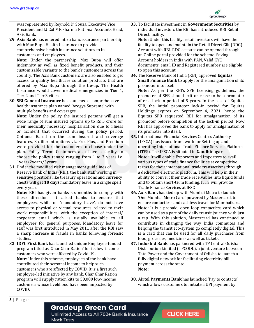

was represented by Reynold D' Souza, Executive Vice President and Lt Col MK Sharma National Accounts Head, Axis Bank.

**29. Axis Bank** has entered into a bancassurance partnership with Max Bupa Health Insurance to provide comprehensive health insurance solutions to its customers and employees.

**Note:** Under the partnership, Max Bupa will offer indemnity as well as fixed benefit products, and their customizable variants to the bank's customers across the country. The Axis Bank customers are also enabled to get access to quality healthcare solution products that are offered by Max Bupa through the tie-up. The Health Insurance would cover medical emergencies in Tier 1, Tier 2 and Tier 3 cities.

**30. SBI General Insurance** has launched a comprehensive health insurance plan named 'Arogya Supreme' with multiple benefits and coverages.

**Note:** Under the policy the insured persons will get a wide range of sum insured options up to Rs 5 crore for their medically necessary hospitalization due to illness or accident that occurred during the policy period. Options: Based on the sum insured and coverage features, 3 different options viz Pro, Plus, and Premium were provided for the customers to choose under the plan. Policy Term: Customers also have a facility to choose the policy tenure ranging from 1 to 3 years i.e. 1year/2years/3years.

**31.** Under the modified risk management guidelines of Reserve Bank of India (RBI), the bank staff working in sensitive positions like treasury operations and currency chests will get **10 days** mandatory leave in a single spell every year.

**Note:** RBI has given banks six months to comply with these directions. It asked banks to ensure that employees, while on 'mandatory leave', do not have access to physical or virtual resources related to their work responsibilities, with the exception of internal/ corporate email which is usually available to all employees for general purposes. Mandatory leave for staff was first introduced in May 2011 after the RBI saw a sharp increase in frauds in banks following forensic studies.

**32. IDFC First Bank** has launched unique Employee-funded program titled as 'Ghar Ghar Ration' for its low-income customers who were affected by Covid-19. **Note:** Under this scheme, employees of the bank have contributed their personal income to help such customers who are affected by COVID. It is a first such employee-led initiative by any bank. Ghar Ghar Ration program will supply ration kits to 50,000 low-income customers whose livelihood have been impacted by COVID.

**33.** To facilitate investment in **Government Securities** by individual investors the RBI has introduced RBI Retail Direct facility.

**Note:** Under this facility, retail investors will have the facility to open and maintain the Retail Direct Gilt (RDG) Account with RBI. RDG account can be opened through an Online portal provided for the scheme. Saving Account holders in India with PAN, Valid KYC documents, email ID and Registered number are eligible to open this account.

**34.** The Reserve Bank of India (RBI) approved **Equitas Small Finance Bank** to apply for the amalgamation of its promoter into itself.

**Note:** As per the RBI's SFB licensing guidelines, the promoter of SFB should exit or cease to be a promoter after a lock-in period of 5 years. In the case of Equitas SFB, the initial promoter lock-in period for Equitas Holdings expires on September 4, 2021, hence the Equitas SFB requested RBI for amalgamation of its promoter before completion of the lock-in period. Now RBI has approved the bank to apply for amalgamation of its promoter into itself.

- **35.** International Financial Services Centres Authority (IFSCA) has issued framework for Setting up and operating International Trade Finance Services Platform (ITFS). The IFSCA is situated in **Gandhinagar**. **Note:** It will enable Exporters and Importers to avail various types of trade finance facilities at competitive terms for their international trade transactions through a dedicated electronic platform. This will help in their ability to convert their trade receivables into liquid funds and to obtain short-term funding. ITFS will provide Trade Finance Services at IFSC
- **36. Axis Bank** has tied up with Mumbai Metro to launch 'One Mumbai Metro Card' powered by Mastercard, to ensure contactless and cashless travel for Mumbaikars. **Note:** It is a prepaid, open loop contactless card which can be used as a part of the daily transit journey with just a tap. With this solution, Mastercard has continued to contribute in changing the way India commutes and helping the transit eco-system go completely digital. This is a card that can be used for all daily purchases from food, groceries, medicines as well as tickets.
- **37. IndusInd Bank** has partnered with TP Central Odisha Distribution Limited (TPCODL), a joint venture between Tata Power and the Government of Odisha to launch a fully digital network for facilitating electricity bill payment across the state. **Note:**
- **38. Airtel Payments Bank** has launched 'Pay to contacts' which allows customers to initiate a UPI payment by

**5 |** P a g e

#### **Gradeup Green Card**

Unlimited Access to All 700+ Bank & Insurance **Mock Tests**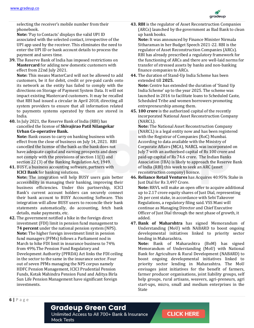

selecting the receiver's mobile number from their phonebook.

**Note:** 'Pay to Contacts' displays the valid UPI ID associated with the selected contact, irrespective of the UPI app used by the receiver. This eliminates the need to enter the UPI ID or bank account details to process the payment and saves time.

**39.** The Reserve Bank of India has imposed restrictions on **Mastercard** for adding new domestic customers with effect from 22nd July 2021.

**Note:** This means MasterCard will not be allowed to add customers, be it for debit, credit or pre-paid cards onto its network as the entity has failed to comply with the directions on Storage of Payment System Data. It will not impact existing Mastercard customers. It may be recalled that RBI had issued a circular in April 2018, directing all system providers to ensure that all information related to payments systems operated by them are stored in India.

**40.** In July 2021, the Reserve Bank of India (RBI) has cancelled the license of **Shivajirao Patil Nilangekar Urban Co-operative Bank.**

**Note:** Bank ceases to carry on banking business with effect from the close of business on July 14, 2021. RBI cancelled the license of the bank as the bank does not have adequate capital and earning prospects and does not comply with the provisions of section 11(1) and section 22 (3) of the Banking Regulation Act, 1949.

**41.** BUSY, a business accounting software, partners with **ICICI Bank** for banking solutions.

**Note:** The integration will help BUSY users gain better accessibility in managing their banking, improving their business efficiencies. Under this partnership, ICICI Bank's current account holders can securely connect their bank account to BUSY Accounting Software. This integration will allow BUSY users to reconcile their bank statements automatically, do accounting, fetch bank details, make payments, etc.

**42.** The government notified a hike in the foreign direct investment (FDI) limit in pension fund management to **74 percent** under the national pension system (NPS). **Note:** The higher foreign investment limit in pension fund managers (PFMs) follows a Parliament nod in March to hike FDI limit in insurance business to 74% from 49%.The Pension Fund Regulatory and Development Authority (PFRDA) Act links the FDI ceiling in the sector to the same in the insurance sector. Four out of seven PFMs managing the NPS corpus namely HDFC Pension Management, ICICI Prudential Pension Funds, Kotak Mahindra Pension Fund and Aditya Birla Sun Life Pension Management have significant foreign investments.

**43. RBI** is the regulator of Asset Reconstruction Companies (ARCs) launched by the government as Bad Bank to clean up bank books.

**Note:** It was announced by Finance Minister Nirmala Sitharaman in her Budget Speech 2021-22. RBI is the regulator of Asset Reconstruction Companies (ARCs). RBI has already prescribed a regulatory framework for the functioning of ARCs and there are well-laid norms for transfer of stressed assets by banks and non-banking finance companies to ARCs.

**44.** The duration of Stand-Up India Scheme has been extended till **2025.**

**Note:** Centre has extended the duration of 'Stand Up India Scheme' up to the year 2025. The scheme was launched in 2016 to facilitate loans to Scheduled Caste, Scheduled Tribe and women borrowers promoting entrepreneurship among them.

**45. 100 crore** is the authorized capital of the recently incorporated National Asset Reconstruction Company (NARCL).

**Note:** The National Asset Reconstruction Company (NARCL) is a legal entity now and has been registered with the Registrar of Companies (RoC) Mumbai. According to data available with the Ministry of Corporate Affairs (MCA), NARCL was incorporated on July 7 with an authorised capital of Rs 100 crore and paid-up capital of Rs 74.6 crore. The Indian Banks Association (IBA) is likely to approach the Reserve Bank of India (RBI) this week to seek an ARC (asset reconstruction company) licence.

- **46. Reliance Retail Ventures** has Acquires 40.95% Stake in Just Dial for Rs 3,497 Crore. **Note:** RRVL will make an open offer to acquire additional up to 2.17 crore equity shares of Just Dial, representing 26 per cent stake, in accordance with Sebi Takeover Regulations, a regulatory filing said. VSS Mani will continue as Managing Director and Chief Executive Officer of Just Dial through the next phase of growth, it added.
- **47. Bank of Maharshtra** has signed Memorandum of Understanding (MoU) with NABARD to boost ongoing developmental initiatives linked to priority sector lending in Maharashtra.

**Note:** Bank of Maharashtra (BoM) has signed Memorandum of Understanding (MoU) with National Bank for Agriculture & Rural Development (NABARD) to boost ongoing developmental initiatives linked to priority sector lending in Maharashtra. The MoU envisages joint initiatives for the benefit of farmers, farmer producer organisations, joint liability groups, self help groups, rural artisans, weavers, agri-preneurs, agri start-ups, micro, small and medium enterprises in the State

Unlimited Access to All 700+ Bank & Insurance **Mock Tests**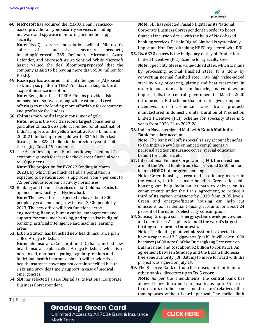

**48. Microsoft** has acquired the RiskIQ, a San Franciscobased provider of cybersecurity services, including malware and spyware monitoring and mobile app security.

**Note:** RiskIQ's services and solutions will join Microsoft's suite of cloud-native security products, including Microsoft 365 Defender, Microsoft Azure Defender, and Microsoft Azure Sentinel. While Microsoft hasn't valued the deal, Bloomberg reported that the company is said to be paying more than \$500 million for RiskIQ.

**49. Razorpay** has acquired artificial intelligence (AI)-based risk analysis platform TERA Finlabs, marking its third acquisition since inception.

**Note:** Bengaluru-based TERA Finlabs provides risk management software, along with customized credit offerings to make lending more affordable for consumers and profitable for lenders.

- **50. China** is the world's largest consumer of gold. **Note:** India is the world's second largest consumer of gold after China. Swiss gold accounted for almost half of India's imports of the yellow metal, at \$16.3 billion, in 2020-21. India imported gold worth \$34.6 billion last fiscal against \$28.2 billion in the previous year despite the raging Covid-19 pandemic.
- **51.** The Asian Development Bank has downgraded India's economic growth forecast for the current financial year to **10 per cent.**

**Note:** The projection for FY2022 (ending in March 2023), by which time much of India's population is expected to be vaccinated, is upgraded from 7 per cent to 7.5 per cent as economic activity normalises.

- **52.** Banking and financial services major Goldman Sachs has opened a new facility in **Hyderabad. Note:** The new office is expected to have about 800 people by year-end and grow to over 2,500 people by 2023. The new office will host functions across engineering, finance, human capital management, and support for consumer banking, and specialise in digital banking, artificial intelligence and machine learning areas.
- **53. LIC** institution has launched new health insurance plan called Arogya Rakshak.

**Note:** Life Insurance Corporation (LIC) has launched new health insurance plan called 'Arogya Rakshak', which is a non-linked, non-participating, regular premium and individual health insurance plan. It will provide fixed health insurance cover against certain specified health risks and provides timely support in case of medical emergencies.

**54. SBI** has selected Paisalo Digital as its National Corporate Business Correspondent.

**Note:** SBI has selected Paisalo Digital as its National Corporate Business Correspondent in order to boost financial inclusion drive with the help of kiosk-based banking services. Paisalo Digital Limited is systemically important Non-Deposit taking NBFC registered with RBI.

- **55. Rs. 6322 crores** is the budgetary outlay of Production Linked Incentive (PLI) Scheme for specialty steel. **Note:** Speciality Steel is value-added steel, which is made by processing normal finished steel. It is done by converting normal finished steel into high value-added steel by way of coating, plating and heat treatment. In order to boost domestic manufacturing and cut down on import bills, the central government in March 2020 introduced a PLI scheme that aims to give companies incentives on incremental sales from products manufactured in domestic units. Duration of Production Linked Incentive (PLI) Scheme for specialty steel is 5 years from 2023-24 to 2027-28
- **56.** Indian Navy has signed MoU with **Kotak Mahindra Bank** for salary account. **Note:** The bank will offer special salary account benefits to the Indian Navy like enhanced complimentary personal accident insurance cover, special education benefit for children, etc.
- **57.** International Finance Corporation (IFC), the investment arm of the World Bank Group has provided \$250 million loan to **HDFC Ltd** for green housing.

**Note:** Green housing is regarded as a luxury market in the country, but has climate benefits. Green affordable housing can help India on its path to deliver on its commitments under the Paris Agreement, to reduce a third of its carbon emissions by 2030 from 2005 levels. Green and energy-efficient housing can help cut emissions, as residential housing accounts for about 24 percent of the nation's electricity consumption.

**58.** Sunseap Group, a solar energy system developer, owner, and operator in Asia plans to build the world's largest floating solar farm in **Indonesia.**

**Note:** The floating photovoltaic system is expected to have a capacity of 2.2 gigawatts (peak). It will cover 1600 hectares (4000 acres) of the Duriangkang Reservoir on Batam Island and cost about \$2 billion to construct. An agreement between Sundeap and the Batam Indonesia free zone authority (BP Batam) to move forward with the project was signed on July 19.

**59.** The Reserve Bank of India has raises limit for loan to other banks' directors up to **Rs 5 crore.**

**Note:** As per the amendments, the central bank has allowed banks to extend personal loans up to ₹5 crores to directors of other banks and directors' relatives other than spouses without board approval. The earlier limit

#### **7 |** P a g e

#### **Gradeup Green Card**

Unlimited Access to All 700+ Bank & Insurance **Mock Tests**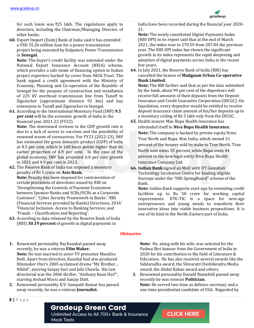

for such loans was ₹25 lakh. The regulations apply to directors, including the Chairman/Managing Director, of other banks.

**60.** Export Import (Exim) Bank of India said it has extended a USD 35.26 million loan for a power transmission project being executed by Kalpataru Power Transmission in **Senegal.**

**Note:** The buyer's credit facility was extended under the National Export Insurance Account (NEIA) scheme, which provides a safe mode of financing option to Indian project exporters backed by cover from NEIA Trust. The bank signed a credit agreement with the Ministry of Economy, Planning and Co-operation of the Republic of Senegal for the purpose of construction and installation of 225 kV overhead transmission line from Tanaff to Ziguinchor (approximate distance 92 km) and bay extensions in Tanaff and Ziguinchor in Senegal.

**61.** According to the International Monetary Fund (IMF) **9.5 per cent** will be the economic growth of India in the financial year 2021-22 (FY22).

**Note:** The downward revision in the GDP growth rate is due to a lack of access to vaccines and the possibility of renewed waves of coronavirus. For FY23 (2022-23), IMF has estimated the gross domestic product (GDP) of India at 8.5 per cent, which is 160 basis points higher than its earlier projection of 6.9 per cent. In the case of the global economy, IMF has projected 6.0 per cent growth in 2021 and 4.9 per cent in 2022.

- **62.** The Reserve Bank of India has imposed a monetary penalty of Rs 5 crore on **Axis Bank. Note:** Penalty has been imposed for contravention of certain provisions of directions issued by RBI on 'Strengthening the Controls of Payment Ecosystem between Sponsor Banks and SCBs/UCBs as a Corporate Customer', 'Cyber Security Framework in Banks', 'RBI (Financial Services provided by Banks) Directions, 2016' 'Financial Inclusion- Access to Banking Services; and 'Frauds – Classification and Reporting'.
- **63.** According to data released by the Reserve Bank of India (RBI) **30.19 percent** of growth in digital payments in

India have been recorded during the financial year 2020- 21.

**Note:** The newly constituted Digital Payments Index (RBI-DPI) in its report said that at the end of March 2021, the index rose to 270.59 from 207.84 the previous year. The RBI-DPI index has shown the significant growth in its index represents the rapid deepening and adoption of digital payments across India in the recent few years.

**64.** In July 2021, the Reserve Bank of India (RBI) has cancelled the licence of **Madgaum Urban Co-operative Bank Limited.**

**Note:** The RBI further said that as per the data submitted by the bank, about 99 per cent of the depositors will receive full amounts of their deposits from the Deposit Insurance and Credit Guarantee Corporation (DICGC). On liquidation, every depositor would be entitled to receive deposit insurance claim amount of his/her deposits up to a monetary ceiling of Rs 5 lakh only from the DICGC.

**65.** Health insurer Max Bupa Health Insurance has rebranded itself to **Niva Bupa Health Insurance. Note:** The company is backed by private equity firms True North and Bupa. Max India, which owned 51 percent of the insurer sold its stake to True North. True North now owns 55 percent, while Bupa owns 44 percent in the new legal entity Niva Bupa Health Insurance Company Ltd.

**66. Indian Bank** signed an MoU with IIT Guwahati Technology Incubation Centre for funding eligible Startups under the "IND SpringBoard" scheme of the Bank.

**Note:** Indian Bank supports start-ups by extending credit facilities up to Rs 50 crore for working capital requirements. IITG-TIC is a space for new-age entrepreneurs and young minds to transform their innovative ideas into viable business propositions. It is one of its kind in the North-Eastern part of India.

#### **Obituaries**

- **1.** Renowned personality Raj Kaushal passed away recently, he was a veteran **Film Maker. Note:** He was married to actor-TV presenter Mandira Bedi. Apart from direction, Kaushal had also produced filmmaker Onir's 2005 acclaimed drama "My Brother… Nikhil", starring Sanjay Suri and Juhi Chawla. His last directorial was the 2006 thriller, "Anthony Kaun Hai?", starring Arshad Warsi and Sanjay Dutt.
- **2.** Renowned personality K.V. Sampath Kumar has passed away recently, he was a veteran **Journalist.**

**Note:** He, along with his wife, was selected for the Padma Shri honour from the Government of India in 2020 for his contribution to the field of Literature & Education. He has also received several awards like the Siddarudha award, the Shivaratri Deshikendra Media award, the Abdul Kalam award and others.

**3.** Renowned personality Donald Rumsfeld passed away recently he was veteran **Politician. Note:** He served two-time as defense secretary and a one-time presidential candidate of USA. Regarded by

#### **Gradeup Green Card**

Unlimited Access to All 700+ Bank & Insurance **Mock Tests**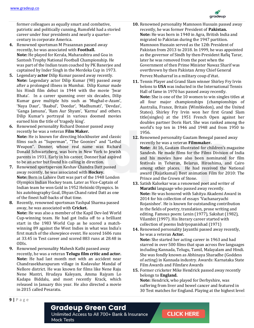

former colleagues as equally smart and combative, patriotic and politically cunning, Rumsfeld had a storied career under four presidents and nearly a quartercentury in corporate America.

- **4.** Renowned sportsman M Prasannan passed away recently, he was associated with **Football. Note:** He played for Kerala, Maharashtra and Goa in Santosh Trophy National Football Championship. He was part of the Indian team coached by PK Banerjee and captained by Inder Singh in the Merdeka Cup in 1973.
- **5.** Legendary **actor** Dilip Kumar passed away recently. **Note:** Legendary actor Dilip Kumar (98) passed away after a prolonged illness in Mumbai. Dilip Kumar made his Hindi film debut in 1944 with the movie 'Jwar Bhata'. In a career spanning over six decades, Dilip Kumar gave multiple hits such as 'Mughal-e-Azam', 'Naya Daur', 'Baabul', 'Deedar', 'Madhumati', 'Devdas', 'Ganga Jamuna', 'Ram Aur Shyam', 'Karma' and others. Dilip Kumar's portrayal in various doomed movies earned him the title of 'tragedy king'.
- **6.** Renowned personality Richard Donner passed away recently he was a veteran **Film Maker. Note:** He is known for directing blockbuster and classic films such as "Superman", "The Goonies" and "Lethal Weapon". Donner, whose real name was Richard Donald Schwartzberg, was born in New York to Jewish parents in 1931. Early in his career, Donner had aspired to be an actor but found his calling in direction.
- **7.** Renowned sportsperson Keshav Chandra Datt passed away recently, he was associated with **Hockey. Note:** Born in Lahore Datt was part of the 1948 London Olympics Indian Hockey team. Later as Vice-Captain of Indian team he won Gold in 1952 Helsinki Olympics. In his autobiography Goal, Dhyan Chand rated Datt as one of the finest half-backs of that time.
- **8.** Recently, renowned sportsman Yashpal Sharma passed away, he was associated with **Cricket.**

**Note:** He was also a member of the Kapil Dev-led World Cup-winning team. He had got India off to a brilliant start in the 1983 World Cup as he scored a matchwinning 89 against the West Indies in what was India's first match of the showpiece event. He scored 1606 runs at 33.45 in Test career and scored 883 runs at 28.48 in ODIs.

**9.** Renowned personality Mahesh Kathi passed away recently, he was a veteran **Telugu film critic and actor. Note:** He had last month met with an accident near Chandrasekharapuram village in Kodavalur Mandal of Nellore district. He was known for films like Nene Raju Nene Mantri, Hrudaya Kaleyam, Amma Rajyam Lo Kadapa Biddalu, and most recently Krack, which released in January this year. He also directed a movie in 2015 called Pesaratu.

- **10.** Renowned personality Mamnoon Hussain passed away recently, he was former President of **Pakistan. Note:** He was born in 1940 in Agra, British India and migrated to Pakistan during the 1947 partition. Mamnoon Hussain served as the 12th President of Pakistan from 2013 to 2018. In 1999, he was appointed as the governor of Sindh by then-President Rafiq Tarar, later he was removed from the post when the Government of then Prime Minister Nawaz Sharif was overthrown by then Pakistan Army Chief General Pervez Musharraf in a military coup d'état.
- **11.** Tennis Player and Grand Slam winner Shirley Fry Irvin belons to **USA** was inducted in the International Tennis Hall of fame in 1970 has passed away recently. **Note:** She is one of the 10 women to win singles titles at all four major championships (championships of Australia, France, Britain (Wimbledon), and the United States). Shirley Fry Irvin won her first Grand Slam title(singles) at the 1951 French Open against her doubles partner Doris Hart. She was ranked among the world's top ten in 1946 and 1948 and from 1950 to 1956.
- **12.** Renowned personality Gautam Benegal passed away recently he was a veteran **Filmmaker. Note:** At 16, Gautam illustrated for children's magazine Sandesh. He made films for the Films Division of India and his movies have also been nominated for film festivals in Teheran, Belarus, Hiroshima, and Cairo among other places. He had received the National award (Rajatkamal) Best animation Film for 2010: The Prince and the Crown of Stone.
- **13.** Satish Kalsekar was a renowned poet and writer of **Marathi** language who passed away recently. **Note:** He was honored with Sahitya Akademi Award in 2014 for his collection of essays 'Vachanaryachi Rojanishee'. He is known for outstanding contribution in the fields of poetry, translation, prose writing and editing. Famous poem: Lenin (1977), Sakshat (1982), Vilambit (1997). His literary career started with collection of poems Indriyopanishad (1971)
- **14.** Renowned personality Jayanthi passed away recently, he was a veteran **Actor. Note:** She started her acting career in 1963 and had starred in over 500 films that span across five languages including Kannada, Telugu, Tamil, Malayalam and Hindi. She was fondly known as Abhinaya Sharadhe (Goddess of acting) in Kannada industry. Awards: Karnataka State Film Awards and Filmfare Awards
- **15.** Former cricketer Mike Hendrick passed away recently belongs to **England.**

**Note:** Hendrick, who played for Derbyshire, was suffering from liver and bowel cancer and featured in 30 Test matches for England. Playing at the highest level

#### **Gradeup Green Card**

Unlimited Access to All 700+ Bank & Insurance **Mock Tests**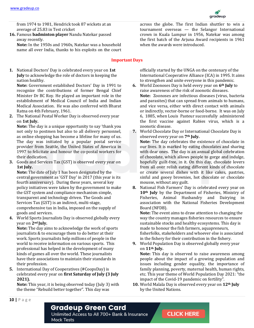

from 1974 to 1981, Hendrick took 87 wickets at an average of 25.83 in Test cricket

**16.** Famous **badminton player** Nandu Natekar passed away recently.

**Note:** In the 1950s and 1960s, Natekar was a household name all over India, thanks to his exploits on the court

#### **Important Days**

**1.** National Doctors' Day is celebrated every year on **1st July** to acknowledge the role of doctors in keeping the nation healthy.

**Note:** Government established Doctors' Day in 1991 to recognize the contributions of former Bengal Chief Minister Dr BC Roy. He played an important role in the establishment of Medical Council of India and Indian Medical Association. He was also conferred with Bharat Ratna on 4th February, 1961.

**2.** The National Postal Worker Day is observed every year on **1st July.**

**Note:** The day is a unique opportunity to say 'thank you not only to postmen but also to all delivery personnel, as online shopping has become a lifeline for many of us. The day was initiated by a popular postal service provider from Seattle, the United States of America in 1997 to felicitate and honour the co-postal workers for their dedication.

**3.** Goods and Services Tax (GST) is observed every year on **1st July.**

**Note:** The date of July 1 has been designated by the central government as 'GST Day' in 2017 (this year is its fourth anniversary). During these years, several key policy initiatives were taken by the government to make the GST system and compliance mechanism simple, transparent and technology driven. The Goods and Services Tax (GST) is an indirect, multi-stage, comprehensive tax in India, imposed on the supply of goods and services.

**4.** World Sports Journalists Day is observed globally every year on **2nd July.**

**Note:** The day aims to acknowledge the work of sports journalists & to encourage them to do better at their work. Sports journalists help millions of people in the world to receive information on various sports. This professional has helped in the development of many kinds of games all over the world. These journalists have their associations to maintain their standards in their profession.

**5.** International Day of Cooperatives (#CoopsDay) is celebrated every year on **first Saturday of July (3 July 2021).**

**Note:** This year, it is being observed today (July 3) with the theme "Rebuild better together". This day was

across the globe. The first Indian shuttler to win a tournament overseas — the Selangor International crown in Kuala Lumpur in 1956, Natekar was among the first batch of the Arjuna Award recipients in 1961 when the awards were introduced.

officially started by the UNGA on the centenary of the International Cooperative Alliance (ICA) in 1995. It aims to strengthen and unite everyone in this pandemic.

- **6.** World Zoonoses Day is held every year on **6th July** to raise awareness of the risk of zoonotic diseases. **Note:** Zoonoses are infectious diseases (virus, bacteria and parasites) that can spread from animals to humans, and vice versa, either with direct contact with animals or indirectly, vector-borne or food-borne. It was on July 6, 1885, when Louis Pasteur successfully administered the first vaccine against Rabies virus, which is a zoonotic disease.
- **7.** World Chocolate Day or International Chocolate Day is observed every year on **7th July. Note:** The day celebrates the existence of chocolate in our lives. It is marked by eating chocolates and sharing with dear ones. The day is an annual global celebration of chocolate, which allows people to gorge and indulge, hopefully guilt-free, in it. On this day, chocolate lovers from all over relish eating different kinds of chocolate or create several dishes with it like cakes, pastries, sinful and gooey brownies, hot chocolate or chocolate mousse, without any guilt.
- **8.** National Fish Farmers' Day is celebrated every year on **10th July** by the Department of Fisheries, Ministry of Fisheries, Animal Husbandry and Dairying in association with the National Fisheries Development Board (NFDB).

**Note:** The event aims to draw attention to changing the way the country manages fisheries resources to ensure sustainable stocks and healthy ecosystems. This day is made to honour the fish farmers, aquapreneurs, fisherfolks, stakeholders and whoever else is associated in the fishery for their contribution in the fishery.

**9.** World Population Day is observed globally every year on **11th July.**

**Note:** This day is observed to raise awareness among people about the impact of a growing population and issues including gender equality, the importance of family planning, poverty, maternal health, human rights, etc. This year theme of World Population Day 2021: "the impact of the Covid-19 pandemic on fertility".

**10.** World Malala Day is observed every year on **12th July** by the United Nations.

#### **Gradeup Green Card**

Unlimited Access to All 700+ Bank & Insurance **Mock Tests**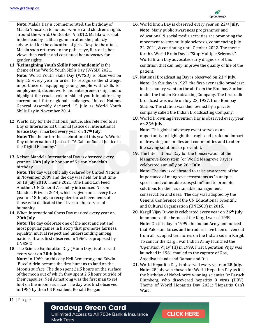

**Note:** Malala Day is commemorated, the birthday of Malala Yousafzai to honour women and children's rights around the world. On October 9, 2012, Malala was shot in the head by Taliban gunmen after she publicly advocated for the education of girls. Despite the attack, Malala soon returned to the public eye, fiercer in her views than earlier and continued her advocacy for gender rights.

- **11. 'Reimagining Youth Skills Post-Pandemic'** is the theme of the 'World Youth Skills Day (WYSD) 2021. **Note:** World Youth Skills Day (WYSD) is observed on July 15 every year in order to recognize the strategic importance of equipping young people with skills for employment, decent work and entrepreneurship, and to highlight the crucial role of skilled youth in addressing current and future global challenges. United Nations General Assembly declared 15 July as World Youth Skills Day in November 2014.
- **12.** World Day for International Justice, also referred to as Day of International Criminal Justice or International Justice Day is marked every year on **17th July. Note:** The theme for the celebration of this year's World Day of International Justice is "A Call for Social Justice in the Digital Economy."
- **13.** Nelson Mandela International Day is observed every year on **18th July** in honour of Nelson Mandela's birthday.

**Note:** The day was officially declared by United Nations in November 2009 and the day was held for first time on 18 July 2010. Theme 2021: One Hand Can Feed Another. UN General Assembly introduced Nelson Mandela Prize in 2014, which is given once every five year on 18th July to recognize the achievements of those who dedicated their lives to the service of humanity.

**14.** When International Chess Day marked every year on **20th July.**

**Note:** The day celebrate one of the most ancient and most popular games in history that promotes fairness, equality, mutual respect and understanding among nations. It was first observed in 1966, as proposed by UNESCO.

**15.** The Science Exploration Day (Moon Day) is observed every year on **20th July.**

**Note:** In 1969, on this day Neil Armstrong and Edwin 'Buzz' Aldrin became the first humans to land on the Moon's surface. The duo spent 21.5 hours on the surface of the moon out of which they spent 2.5 hours outside of their capsules. Neil Armstrong was the first man to set foot on the moon's surface. The day was first observed in 1984 by then US President, Ronald Reagan.

- **16.** World Brain Day is observed every year on **22nd July. Note:** Many public awareness programmes and educational & social media activities are promoting the movement to stop multiple sclerosis, commencing July 22, 2021, & continuing until October 2022. The theme for this World Brain Day is "Stop Multiple Sclerosis". World Brain Day advocates early diagnosis of this condition that can help improve the quality of life of the patient.
- **17.** National Broadcasting Day is observed on **23rd July. Note:** On this day in 1927, the first-ever radio broadcast in the country went on the air from the Bombay Station under the Indian Broadcasting Company. The first radio broadcast was made on July 23, 1927, from Bombay Station. The station was then owned by a private company called the Indian Broadcasting Company.
- **18.** World Drowning Prevention Day is observed every year on **25th July.**

**Note:** This global advocacy event serves as an opportunity to highlight the tragic and profound impact of drowning on families and communities and to offer life-saving solutions to prevent it.

**19.** The International Day for the Conservation of the Mangrove Ecosystem (or World Mangrove Day) is celebrated annually on **26th July. Note:** The day is celebrated to raise awareness of the importance of mangrove ecosystems as "a unique,

special and vulnerable ecosystem" and to promote solutions for their sustainable management, conservation and uses. The day was adopted by the General Conference of the UN Educational, Scientific and Cultural Organization (UNESCO) in 2015.

- **20.** Kargil Vijay Diwas is celebrated every year on **26th July** in honour of the heroes of the Kargil war of 1999. **Note:** On this day in 1999, the Indian Army announced that Pakistani forces and intruders have been driven out from all occupied territories on the Indian side in Kargil. To concur the Kargil war Indian Army launched the 'Operation Vijay' (II) in 1999. First Operation Vijay was launched in 1961 that led to the capture of Goa, Anjediva islands and Daman and Diu.
- **21.** World Hepatitis Day is observed every year on **28 July. Note:** 28 July was chosen for World Hepatitis Day as it is the birthday of Nobel-prize winning scientist Dr Baruch Blumberg, who discovered hepatitis B virus (HBV). Theme of World Hepatitis Day 2021: 'Hepatitis Can't Wait'.

**11 |** P a g e

#### **Gradeup Green Card**

Unlimited Access to All 700+ Bank & Insurance **Mock Tests**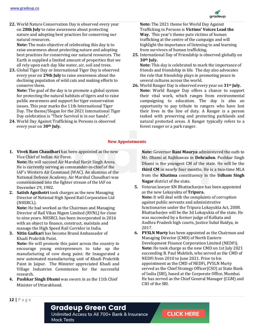

**22.** World Nature Conservation Day is observed every year on **28th July** to raise awareness about protecting nature and adopting best practices for conserving our natural resources.

**Note:** The main objective of celebrating this day is to raise awareness about protecting nature and adopting best practices for conserving our natural resources. The Earth is supplied a limited amount of properties that we all rely upon each day like water, air, soil and trees.

**23.** Global Tiger Day or International Tiger Day is observed every year on **29th July** to raise awareness about the declining population of wild cats and making efforts to conserve them.

**Note:** The goal of the day is to promote a global system for protecting the natural habitats of tigers and to raise public awareness and support for tiger conservation issues. This year marks the 11th International Tiger Day. The theme/Slogan for the 2021 International Tiger Day celebration is "Their Survival is in our hands".

**24.** World Day Against Trafficking in Persons is observed every year on **30th July.**

**Note:** The 2021 theme for World Day Against Trafficking in Persons is **Victims' Voices Lead the Way.** This year's theme puts victims of human trafficking at the centre of the campaign and will highlight the importance of listening to and learning from survivors of human trafficking.

**25.** International Day of Friendship is observed globally on **30th July.**

**Note:** This day is celebrated to mark the importance of friends and friendship in life. The day also advocates the role that friendship plays in promoting peace in several cultures across the world.

**26.** World Ranger Day is observed every year on **31st July. Note:** World Ranger Day offers a chance to support their vital work, which ranges from environmental campaigning to education. The day is also an opportunity to pay tribute to rangers who have lost their lives in the line of duty. A Ranger is a person tasked with preserving and protecting parklands and natural protected areas. A Ranger typically refers to a forest ranger or a park ranger.

#### **New Appointments**

**1. Vivek Ram Chaudhari** has been appointed as the new Vice Chief of Indian Air Force.

**Note:** He will succeed Air Marshal Harjit Singh Arora. He is currently serving as commander-in-chief of the IAF's Western Air Command (WAC). An alumnus of the National Defence Academy, Air Marshal Chaudhari was commissioned into the fighter stream of the IAF on December 29, 1982.

**2. Satish Agnihotri** took charges as the new Managing Director of National High Speed Rail Corporation Ltd (NHSRCL).

**Note:** He had worked as the Chairman and Managing Director of Rail Vikas Nigam Limited (RVNL) for close to nine years. NHSRCL has been incorporated in 2016 with an object to finance, construct, maintain and manage the High Speed Rail Corridor in India.

**3. Nitin Gadkari** has become Brand Ambassador of Khadi Prakritik Paint.

**Note:** He will promote this paint across the country to encourage young entrepreneurs to take up the manufacturing of cow dung paint. He Inaugurated a new automated manufacturing unit of Khadi Prakritik Paint in Jaipur. The Minister appreciated Khadi and Village Industries Commission for the successful research.

**4. Pushkar Singh Dhami** was sworn in as the 11th Chief Minister of Uttarakhand.

**Note:** Governor **Rani Maurya** administered the oath to Mr. Dhami at Rajbhawan in **Dehradun**. Pushkar Singh Dhami is the youngest CM of the state. He will be the **third CM** in nearly four months. He is a two-time MLA from the **Khatima** constituency in the **Udham Singh Nagar** district of the state.

- **5.** Veteran lawyer KN Bhattacharjee has been appointed as the new Lokayukta of **Tripura. Note:** It will deal with the complaints of corruption against public servants and administrative functionaries under the Tripura Lokayukta Act, 2008. Bhattacharjee will be the 3d Lokayukta of the state. He was succeeded by a former judge of Kolkata and Andhra Pradesh high courts, Justice Subal Baidya, in 2017.
- **6. PVSLN Murty** has been appointed as the Chairman and Managing Director (CMD) of North Eastern Development Finance Corporation Limited (NEDFi). **Note:** He took charge as the new CMD on 1st July 2021 succeeding B. Paul Muktieh, who served as the CMD of NEDFi from 2010 to June 2021. Prior to his appointment as the CMD of NEDFi, PVSLN Murty served as the Chief Strategy Officer(CSO) at State Bank of India (SBI), based at the Corporate Office, Mumbai. He has served as the Chief General Manager (CGM) and CSO of the SBI.

**12 |** P a g e

## **Gradeup Green Card**

Unlimited Access to All 700+ Bank & Insurance **Mock Tests**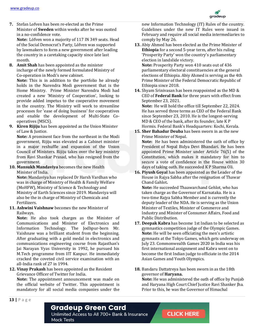

**7.** Stefan Lofven has been re-elected as the Prime Minister of **Sweden** within weeks after he was ousted in a no-confidence vote.

**Note:** Löfven won a majority of 117 IN 349 seats. Head of the Social Democrat's Party, Löfven was supported by lawmakers to form a new government after leading the country in a caretaking capacity since late last month.

**8. Amit Shah** has been appointed as the minister incharge of the newly formed formulated Ministry of Co-operation in Modi's new cabinet.

**Note:** This is in addition to the portfolio he already holds in the Narendra Modi government that is the Home Ministry. Prime Minister Narendra Modi had created a new 'Ministry of Cooperation', looking to provide added impetus to the cooperative movement in the country. The Ministry will work to streamline processes for 'ease of doing business' for cooperatives and enable the development of Multi-State Cooperatives (MSCS).

**9. Kiren Rijiju** has been appointed as the Union Minister of Law & Justice.

**Note:** A prominent face from the northeast in the Modi government, Rijiju was elevated as a Cabinet minister in a major reshuffle and expansion of the Union Council of Ministers. Rijiju takes over the key ministry from Ravi Shankar Prasad, who has resigned from the government.

**10. Mansukh Mandaviya** becomes the new Health Minister of India.

**Note:** Mandaviya has replaced Dr Harsh Vardhan who was in charge of Ministry of Health & Family Welfare (MoHFW), Ministry of Science & Technology and Ministry of Earth Sciences since 2019. Mandaviya will also be the in charge of Ministry of Chemicals and Fertilizers.

**11. Ashwini Vaishnaw** becomes the new Minister of Railways.

**Note:** He also took charges as the Minister of Communications and Minister of Electronics and Information Technology. The Jodhpur-born Mr. Vaishnaw was a brilliant student from the beginning. After graduating with a gold medal in electronics and communications engineering course from Rajasthan's Jai Narayan Vyas University in 1992, he pursued his M.Tech programme from IIT Kanpur. He immediately cracked the coveted civil service examination with an all-India rank of 27 in 1994.

#### **12. Vinay Prakash** has been appointed as the Resident Grievance Officer of Twitter for India.

**Note:** The appointment announcement was made on the official website of Twitter. This appointment is mandatory for all social media companies under the

new Information Technology (IT) Rules of the country. Guidelines under the new IT Rules were issued in February and require all social media intermediaries to comply by May 26.

**13.** Abiy Ahmed has been elected as the Prime Minister of **Ethiopia** for a second 5-year term, after his ruling 'Prosperity Party' won the country's parliamentary election in landslide victory.

**Note:** Prosperity Party won 410 seats out of 436 parliamentary electoral constituencies at the general elections of Ethiopia. Abiy Ahmed is serving as the 4th Prime Minister of the Federal Democratic Republic of Ethiopia since 2018.

**14.** Shyam Srinivasan has been reappointed as the MD & CEO of **Federal Bank** for three years with effect from September 23, 2021.

**Note:** He will hold the office till September 22, 2024. He has served three terms as CEO of the Federal Bank since September 23, 2010. He is the longest-serving MD & CEO of the bank, after its founder, late K P Hormis. Federal Bank's Headquarters: Kochi, Kerala.

**15. Sher Bahadur Deuba** has been sworn in as the new Prime Minister of Nepal. **Note:** He has been administered the oath of office by

President of Nepal Bidya Devi Bhandari. He has been appointed Prime Minister under Article 76(5) of the Constitution, which makes it mandatory for him to secure a vote of confidence in the House within 30 days of taking oath. He succeeded K P Sharma Oli.

**16. Piyush Goyal** has been appointed as the Leader of the House in Rajya Sabha after the resignation of Thawar Chand Gahlot**.**

**Note:** He succeeded Thaawarchand Gehlot, who has taken charge as the Governor of Karnataka. He is a two-time Rajya Sabha Member and is currently the deputy leader of the NDA. He is serving as the Union Minister of Textiles, Minister of Commerce and Industry and Minister of Consumer Affairs, Food and Public Distribution.

- **17. Deepak Kabra** has become 1st Indian to be selected as gymnastics competition judge of the Olympic Games. **Note:** He will be seen officiating the men's artistic gymnasts at the Tokyo Games, which gets underway on July 23. Commonwealth Games 2020 in India was his first international assignment and Kabra went on to become the first Indian judge to officiate in the 2014 Asian Games and Youth Olympics.
- **18.** Bandaru Dattatreya has been sworn in as the 18th governor of **Haryana.**

**Note:** He was administered the oath of office by Punjab and Haryana High Court Chief Justice Ravi Shanker Jha. Prior to this, he was the Governor of Himachal

#### **13 |** P a g e

#### **Gradeup Green Card**

Unlimited Access to All 700+ Bank & Insurance **Mock Tests**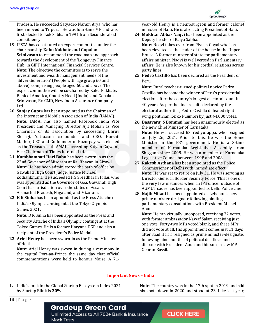

Pradesh. He succeeded Satyadeo Narain Arya, who has been moved to Tripura. He was four-time MP and was first elected to Lok Sabha in 1991 from Secunderabad constituency

- **19.** IFSCA has constituted an expert committee under the chairmanship **Kaku Nakhate and Gopalan Srinivasan** to recommend the road map and approach towards the development of the 'Longevity Finance Hub' in GIFT International Financial Services Centre. **Note:** The objective the committee is to serve the investment and wealth management needs of the 'Silver Generation' (People with age group 60 and above), comprising people aged 60 and above. The expert committee will be co-chaired by Kaku Nakhate, Bank of America, Country Head (India), and Gopalan Srinivasan, Ex-CMD, New India Assurance Company Ltd.
- **20. Sanjay Gupta** has been appointed as the Chairman of the Internet and Mobile Association of India (IAMAI). **Note:** IAMAI has also named Facebook India Vice President and Managing Director Ajit Mohan as Vice Chairman of its association by succeeding Dhruv Shringi, Yatra.com co-founder and CEO. Harshil Mathur, CEO and Co-founder of Razorpay was elected as the Treasurer of IAMAI succeeding Satyan Gajwani, Vice Chairman of Times Internet Ltd.
- **21. Kambhampati Hari Babu** has been sworn in as the 22nd Governor of Mizoram at Raj Bhavan in Aizawl. **Note:** He has been administered the oath of office by Gawahati High Court Judge, Justice Michael Zothankhuma. He succeeded P.S Sreedharan Pillai, who was appointed as the Governor of Goa. Gawahati High Court has jurisdiction over the states of Assam, Arunachal Pradesh, Nagaland, and Mizoram.
- **22. B K Sinha** has been appointed as the Press Attache of India's Olympic contingent at the Tokyo Olympic Games 2021**.**

**Note:** B K Sinha has been appointed as the Press and Security Attache of India's Olympic contingent at the Tokyo Games. He is a former Haryana DGP and also a recipient of the President's Police Medal.

**23. Ariel Henry** has been sworn-in as the Prime Minister of Haiti.

**Note:** Ariel Henry was sworn in during a ceremony in the capital Port-au-Prince the same day that official commemorations were held to honour Moise. A 71year-old Henry is a neurosurgeon and former cabinet minister of Haiti. He is also acting President of Haiti.

- **24. Mukhtar Abbas Naqvi** has been appointed as the Deputy Leader of Rajya Sabha. **Note:** Naqvi takes over from Piyush Goyal who has been elevated as the leader of the house in the Upper House. A former minister of state for parliamentary affairs minister, Naqvi is well versed in Parliamentary affairs. He is also known for his cordial relations across party lines.
- **25. Pedro Castillo** has been declared as the President of Peru.

**Note:** Rural teacher-turned-political novice Pedro Castillo has become the winner of Peru's presidential election after the country's longest electoral count in 40 years. As per the final results declared by the electoral authorities, Pedro Castillo defeated rightwing politician Keiko Fujimori by just 44,000 votes.

- **26. Basavaraj S Bommai** has been unanimously elected as the new Chief Minister of Karnataka. **Note:** He will succeed BS Yediyurappa, who resigned on July 26, 2021. Prior to this, he was the Home Minister in the BSY government. He is a 3-time member of Karnataka Legislative Assembly from Shiggaon since 2008. He was a member of Karnataka Legislative Council between 1998 and 2008.
- **27. Rakesh Asthana** has been appointed as the Police Commissioner of Delhi with immediate effect. **Note:** He was set to retire on July 31. He was serving as Director General, Border Security Force. This is one of the very few instances when an IPS officer outside of AGMUT cadre has been appointed as Delhi Police chief.
- **28. Najib Mikati** has been appointed as Lebanon's new prime minister-designate following binding parliamentary consultations with President Michel Aoun.

**Note:** He ran virtually unopposed, receiving 72 votes, with former ambassador Nawaf Salam receiving just one vote. Forty-two MPs voted blank, and three MPs did not vote at all. His appointment comes just 11 days after Saad Hariri resigned as prime minister-designate, following nine months of political deadlock and dispute with President Aoun and his son-in-law MP Gebran Bassil.

#### **Important News – India**

**1.** India's rank in the Global Startup Ecosystem Index 2021 by Startup Blink is **20th.**

**Note:** The country was in the 17th spot in 2019 and slid six spots down in 2020 and stood at 23. Like last year,

**14 |** P a g e

**Gradeup Green Card** Unlimited Access to All 700+ Bank & Insurance **Mock Tests**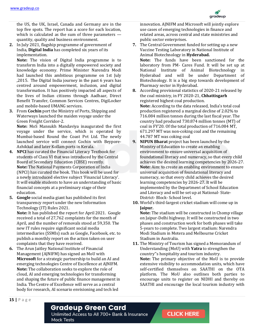

the US, the UK, Israel, Canada and Germany are in the top five spots. The report has a score for each location, which is calculated as the sum of three parameters quantity, quality and business environment.

**2.** In July 2021, flagship programme of government of India, **Digital India** has completed six years of its implementation.

**Note:** The vision of Digital India programme is to transform India into a digitally empowered society and knowledge economy. Prime Minister Narendra Modi had launched this ambitious programme on 1st July ,2015. The Digital India journey in the past 6 years has centred around empowerment, inclusion, and digital transformation. It has positively impacted all aspects of the lives of Indian citizens through Aadhaar, Direct Benefit Transfer, Common Services Centres, DigiLocker and mobile-based UMANG services.

**3.** From **Cochin** port the Ministry of Ports, Shipping and Waterways launched the maiden voyage under the Green Freight Corridor-2.

**Note:** MoS Mansukh Mandaviya inaugurated the first voyage under the service, which is operated by Mumbai-based Round the Coast Pvt Ltd. The newly launched service will connect Cochin with Beypore-Azhikkal and later Kollam ports in Kerala.

- **4. NPCI** has curated the Financial Literacy Textbook for students of Class VI that was introduced by the Central Board of Secondary Education (CBSE) recently. **Note:** The National Payments Corporation of India (NPCI) has curated the book. This book will be used for a newly introduced elective subject 'Financial Literacy'. It will enable students to have an understanding of basic financial concepts at a preliminary stage of their education.
- **5. Google** social media giant has published its first transparency report under the new Information Technology (IT) Rules 2021.

**Note:** It has published the report for April 2021. Google received a total of 27,762 complaints for the month of April, and the number of removals stood at 59,350. The new IT rules require significant social media intermediaries (SSMIs) such as Google, Facebook, etc. to publish a monthly report on the action taken on user complaints that they have received.

**6.** The Arun Jaitley National Institute of Financial Management (AJNIFM) has signed an MoU with **Microsoft** for a strategic partnership to build an AI and emerging technologies Centre of Excellence at AJNIFM. **Note:** The collaboration seeks to explore the role of cloud, AI and emerging technologies for transforming and shaping the future of public finance management in India. The Centre of Excellence will serve as a central body for research, AI scenario envisioning and tech led

innovation. AJNIFM and Microsoft will jointly explore use cases of emerging technologies in finance and related areas, across central and state ministries and public sector enterprises.

- **7.** The Central Government funded for setting up a new Vaccine Testing Laboratory in National Institute of Animal Biotechnology in **Hyderabad. Note:** The funds have been sanctioned for the laboratory from PM- Cares Fund. It will be set up at National Institute of Animal Biotechnology in Hyderabad and will be under Department of Biotechnology. It is a big step towards development of Pharmacy sector in Hyderabad.
- **8.** According provisional statistics of 2020-21 released by the coal ministry, in FY 2020-21, **Chhattisgarh** registered highest coal production. **Note:** According to the data released, India's total coal production registered a marginal decline of 2.02% to 716.084 million tonnes during the last fiscal year. The country had produced 730.874 million tonnes (MT) of coal in FY'20. Of the total production of 716.084 MT, 671.297 MT was non-coking coal and the remaining 44.787 MT was coking coal
- **9. NIPUN Bharat** project has been launched by the Ministry of Education to create an enabling environment to ensure universal acquisition of foundational literacy and numeracy, so that every child achieves the desired learning competencies by 2026-27. **Note:** Aim: to create an enabling environment to ensure universal acquisition of foundational literacy and numeracy, so that every child achieves the desired learning competencies by 2026-27. It will be implemented by the Department of School Education and Literacy and will be set up at National- State-District- Block- School level.
- **10.** World's third-largest cricket stadium will come up in **Jaipur.**

**Note:** The stadium will be constructed in Chomp village on Jaipur-Delhi highway. It will be constructed in two phases and construction work for both phases will take 5-years to complete. Two largest stadium: Narendra Modi Stadium in Motera and Melbourne Cricket Stadium in Australia.

**11.** The Ministry of Tourism has signed a Memorandum of Understanding (MoU) with **Yatra** to strengthen the country''s hospitality and tourism industry. **Note:** The primary objective of the MoU is to provide extensive visibility to accommodation units, which have self-certified themselves on SAATHI on the OTA platform. The MoU also outlines both parties to encourage units to register on NIDHI and thereby on SAATHI and encourage the local tourism industry with

**15 |** P a g e

#### **Gradeup Green Card**

Unlimited Access to All 700+ Bank & Insurance **Mock Tests**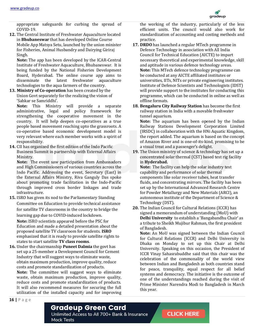

appropriate safeguards for curbing the spread of COVID-19.

**12.** The Central Institute of Freshwater Aquaculture located in **Bhubaneswar** that has developed Online Course Mobile App Matsya Setu, launched by the union minister for Fisheries, Animal Husbandry and Dairying Giriraj Singh.

**Note:** The app has been developed by the ICAR-Central Institute of Freshwater Aquaculture, Bhubaneswar. It is being funded by the National Fisheries Development Board, Hyderabad. The online course app aims to disseminate the latest freshwater aquaculture technologies to the aqua farmers of the country.

**13. Ministry of Co-operation** has been created by the Union Govt separately for the realizing the vision of 'Sahkar se Samriddhi'.

**Note:** This Ministry will provide a separate administrative, legal and policy framework for strengthening the cooperative movement in the country. It will help deepen co-operatives as a true people based movement reaching upto the grassroots. A co-operative based economic development model is very relevant where each member works with a spirit of responsibility.

**14.** CII has organized the first edition of the Indo Pacific Business Summit in partnership with External Affairs Ministry.

**Note:** The event saw participation from Ambassadors and High Commissioners of various countries across the Indo Pacific. Addressing the event, Secretary (East) in the External Affairs Ministry, Riva Ganguly Das spoke about promoting trade facilitation in the Indo-Pacific through improved cross border linkages and trade infrastructure.

**15.** ISRO has given its nod to the Parliamentary Standing Committee on Education to provide technical assistance for satellite TV classrooms in the country to bridge the learning gap due to COVID-induced lockdown.

**Note:** ISRO scientists appeared before the PSC for Education and made a detailed presentation about the proposed satellite TV classroom for students. **ISRO**  emphasized that it is ready to provide satellite rights to states to start satellite **TV class rooms**.

**16.** Under the chairmanship **Puneet Dalmia** the govt has set up a 25-member a Development Council for Cement Industry that will suggest ways to eliminate waste, obtain maximum production, improve quality, reduce costs and promote standardization of products. **Note:** The committee will suggest ways to eliminate waste, obtain maximum production, improve quality, reduce costs and promote standardization of products. It will also recommend measures for securing the full utilization of the installed capacity and for improving the working of the industry, particularly of the less efficient units. The council would also work for standardization of accounting and costing methods and practice.

- **17. DRDO** has launched a regular MTech programme in Defence Technology in association with All India Council for Technical Education (AICTE) to impart necessary theoretical and experimental knowledge, skill and aptitude in various defence technology areas. **Note:** This MTech defence technology programme can be conducted at any AICTE affiliated institutes or universities, IITs, NITs or private engineering institutes. Institute of Defence Scientists and Technologists (IDST) will provide support to the institutes for conducting this programme, which can be conducted in online as well as offline formats.
- **18. Bengaluru City Railway Station** has become the first railway station in India with a movable freshwater tunnel aquarium.

**Note:** The aquarium has been opened by the Indian Railway Stations Development Corporation Limited (IRSDC) in collaboration with the HNi Aquatic Kingdom, the report added. The aquarium is based on the concept of Amazon River and is one-of-its-kind, promising to be a visual treat and a passenger's delight.

**19.** The Union ministry of science & technology has set up a concentrated solar thermal (CST) based test rig facility in **Hyderabad.** 

**Note:** The facility can help the solar industry test capability and performance of solar thermal components like solar receiver tubes, heat transfer fluids, and concentrating mirrors. The facility has been set up by the International Advanced Research Centre for Powder Metallurgy and New Materials (ARCI), an autonomous institute of the Department of Science & Technology (DST).

**20.** The Indian Council for Cultural Relations (ICCR) has signed a memorandum of understanding (MoU) with **Delhi University** to establish a 'Bangabandhu Chair' as a tribute to Sheikh Mujibur Rahman, the first president of Bangladesh.

**Note:** An MoU was signed between the Indian Council for Cultural Relations (ICCR) and Delhi University in Dhaka on Monday to set up this Chair at Delhi University. Speaking on this occasion, the President of ICCR Vinay Sahasrabuddhe said that this chair was the celebration of the commonality of the world view between Indian and Bangladesh as both countries stand for peace, tranquility, equal respect for all belief systems and democracy. The initiative is the outcome of one of the understandings reached during the visit of Prime Minister Narendra Modi to Bangladesh in March this year.

**16 |** P a g e

#### **Gradeup Green Card**

Unlimited Access to All 700+ Bank & Insurance **Mock Tests**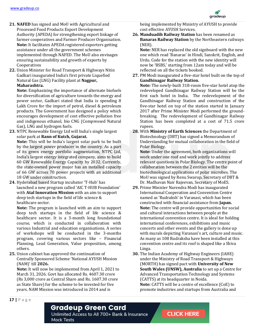

- **21. NAFED** has signed and MoU with Agricultural and Processed Food Products Export Development Authority (APEDA) for strengthening export linkage of farmer cooperatives and Farmer Producer Organisation. **Note:** It facilitates APEDA registered exporters getting assistance under all the government schemes implemented through NAFED. The MoU also envisages ensuring sustainability and growth of exports by Cooperatives
- **22.** Union Minister for Road Transport & Highways Nitin Gadkari inaugurated India's first private Liquefied Natural Gas (LNG) Facility plant at **Nagpur, Maharashtra.**

**Note:** Emphasizing the importance of alternate biofuels for diversification of agriculture towards the energy and power sector, Gadkari stated that India is spending 8 Lakh Crore for the import of petrol, diesel & petroleum products. The Government has designed a policy which encourages development of cost effective pollution free and indigenous ethanol, bio CNG (Compressed Natural Gas), LNG and hydrogen fuels.

**23.** NTPC Renewable Energy Ltd will India's single largest solar park at **Rann of Kutch, Gujarat.**

**Note:** This will be India's largest solar park to be built by the largest power producer in the country. As a part of its green energy portfolio augmentation, NTPC Ltd, India's largest energy integrated company, aims to build 60 GW Renewable Energy Capacity by 2032. Currently, the state-owned power major has an installed capacity of 66 GW across 70 power projects with an additional 18 GW under construction.

**24.** Hyderabad based Startup incubator 'T-Hub' has launched a new program called 'AIC T-HUB Foundation' with **Atal Innovation Mission** with an aim to support deep tech startups in the field of life science & healthcare sector.

**Note:** The program is launched with an aim to support deep tech startups in the field of life science & healthcare sector. It is a 3-month long foundational course, which is conducted in collaboration with various Industrial and education organisations. A series of workshops will be conducted in the 3-months program, covering various sectors like – Financial Planning, Lead Generation, Value proposition, among others.

**25.** Union cabinet has approved the continuation of Centrally Sponsored Scheme 'National AYUSH Mission (NAM)' till **2026.**

**Note:** It will now be implemented from April 1, 2021 to March 31, 2026. Govt has allocated Rs. 4607.30 crore (Rs 3,000 crore as Central Share and Rs. 1607.30 crore as State Share) for the scheme to be invested for five years. NAM Mission was introduced in 2014 and is

being implemented by Ministry of AYUSH to provide cost effective AYUSH Services.

**26. Manduadih Railway Station** has been renamed as **Banaras Railway Station** by the Northeastern railways (NER).

**Note:** NER has replaced the old signboard with the new one which read 'Banaras' in Hindi, Sanskrit, English, and Urdu. Code for the station with the new identity will now be 'BSBS,' starting from 12am today and will be reflected on all the tickets booked.

**27.** PM Modi inaugurated a five-star hotel built on the top of **Gandhinagar Railway Station.** 

**Note:** The newly-built 318-room five-star hotel atop the redeveloped Gandhinagar Railway Station will be the first such hotel in India. The redevelopment of the Gandhinagar Railway Station and construction of the five-star hotel on top of the station started in January 2017 after Prime Minister Modi performed the groundbreaking. The redevelopment of Gandhinagar Railway Station has been completed at a cost of 71.5 crore rupees.

**28.** With **Ministry of Earth Sciences** the Department of Biotechnology (DBT) has signed a Memorandum of Understanding for mutual collaboration in the field of Polar Biology.

**Note:** Under the agreement, both organizations will work under one roof and work jointly to address relevant questions in Polar Biology. The centre point of collaboration between the 2 entities will be the biotechnological applications of polar microbes. The MoU was signed by Renu Swarup, Secretary of DBT & Dr. Madhavan Nair Rajeevan, Secretary of MoES.

- **29.** Prime Minister Narendra Modi has inaugurated International Cooperation and Convention Centre named as 'Rudraksh' in Varanasi, which has been constructed with financial assistance from **Japan. Note:** The centre will provide opportunities for social and cultural interactions between people at the international convention centre. It is ideal for holding international conferences, exhibitions and music concerts and other events and the gallery is done up with murals depicting Varanasi's art, culture and music. As many as 108 Rudraksha have been installed at this convention centre and its roof is shaped like a Shiva Linga.
- **30.** The Indian Academy of Highway Engineers (IAHE) under the Ministry of Road Transport & Highways (MORTH) has signed pact with **University of New South Wales (UNSW), Australia** to set up a Centre for Advanced Transportation Technology and Systems (CATTS) at its headquarter in Noida. **Note:** CATTS will be a centre of excellence (CoE) to promote industries and startups from Australia and

**17 |** P a g e

#### **Gradeup Green Card**

Unlimited Access to All 700+ Bank & Insurance **Mock Tests**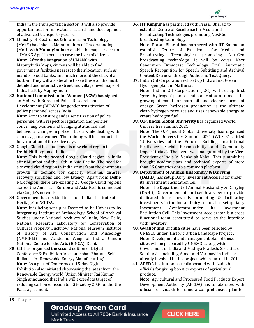

India in the transportation sector. It will also provide opportunities for innovation, research and development of advanced transport systems.

- **31.** Ministry of Electronics & Information Technology (MeitY) has inked a Memorandum of Understanding (MoU) with **MapmyIndia** to enable the map services in "UMANG App" in order to ease the lives of citizens. **Note:** After the integration of UMANG with MapmyIndia Maps, citizens will be able to find government facilities nearest to their location, such as mandis, blood banks, and much more, at the click of a button. They will also be able to see these on the most detailed and interactive street and village level maps of India, built by MapmyIndia.
- **32. National Commission for Women (NCW)** has signed an MoU with Bureau of Police Research and Development (BPR&D) for gender sensitization of police personnel across India.

**Note:** Aim: to ensure gender sensitization of police personnel with respect to legislation and policies concerning women and bringing attitudinal and behavioral changes in police officers while dealing with crimes against women. The training will be conducted for a duration of three-five days.

**33.** Google Cloud has launched its new cloud region in **Delhi-NCR** region of India.

**Note:** This is the second Google Cloud region in India after Mumbai and the 10th in Asia-Pacific. The need for a second cloud region in India stems from the enormous growth in demand for capacity building, disaster recovery solutions and low latency. Apart from Delhi-NCR region, there are existing 25 Google Cloud regions across the Americas, Europe and Asia-Pacific connected via Google's network.

**34.** Government has decided to set up 'Indian Institute of Heritage' in **NOIDA.**

**Note:** It is being set up as Deemed to be University by integrating Institute of Archaeology, School of Archival Studies under National Archives of India, New Delhi, National Research Laboratory for Conservation of Cultural Property Lucknow, National Museum Institute of History of Art, Conservation and Museology (NMICHM) and Academic Wing of Indira Gandhi National Centre for the Arts (IGNCA), Delhi.

**35. CII** has organized the second edition of Digital Conference & Exhibition 'Aatmanirbhar Bharat – Self-Reliance for Renewable Energy Manufacturing'. **Note:** As a part of Conference a 15-day Digital Exhibition also initiated showcasing the latest from the Renewable Energy world. Union Minister Raj Kumar Singh announced that India will exceed its target of reducing carbon emission to 33% set by 2030 under the Paris agreement.

**36. IIT Kanpur** has partnered with Prasar Bharati to establish Centre of Excellence for Media and Broadcasting Technologies promoting NextGen broadcasting technology.

**Note:** Prasar Bharati has partnered with IIT Kanpur to establish Centre of Excellence for Media and Broadcasting Technologies promoting NextGen broadcasting technology. It will be cover Next Generation Broadcast Technology Trial, Automatic Speech Recognition for Speech Subtitling and Archival Content Retrieval through Audio and Text Query.

- **37.** Indian Oil Corporation will set up India's first Green Hydrogen plant in **Mathura. Note:** Indian Oil Corporation (IOC) will set-up first 'green hydrogen' plant of India at Mathura to meet the growing demand for both oil and cleaner forms of energy. Green hydrogen production is the ultimate clean hydrogen resource and uses renewable energy to create hydrogen fuel.
- **38. O.P. Jindal Global University** has organized World Universities Summit 2021.

**Note:** The O.P. Jindal Global University has organized the World Universities Summit 2021 (WUS 21), titled "Universities of the Future: Building Institutional Resilience, Social Responsibility and Community Impact' today". The event was inaugurated by the Vice-President of India M. Venkaiah Naidu. This summit has brought academicians and technical experts of more than 25 Countries onto a common platform.

#### **39. Department of Animal Husbandry & Dairying (DAHD)** has setup Dairy Investment Accelerator under its Investment Facilitation Cell.

**Note:** The Department of Animal Husbandry & Dairying (DAHD), Government of India,with a view to provide dedicated focus towards promoting & facilitating investments in the Indian Dairy sector, has setup Dairy Investment Accelerator under its Investment Facilitation Cell. This Investment Accelerator is a cross functional team constituted to serve as the interface with investors.

- **40. Gwalior and Orchha** cities have been selected by UNESCO under 'Historic Urban Landscape Project'. **Note:** Development and management plan of these cities will be prepared by UNESCO, along with Government of India and Madhya Pradesh. Six cities of South Asia, including Ajmer and Varanasi in India are already involved in this project, which started in 2011.
- **41. APEDA** institution has collaborated with Ladakh officials for giving boost to exports of agricultural produce.

**Note:** Agricultural and Processed Food Products Export Development Authority (APEDA) has collaborated with officials of Ladakh to frame a comprehensive plan for

#### **Gradeup Green Card**

Unlimited Access to All 700+ Bank & Insurance **Mock Tests**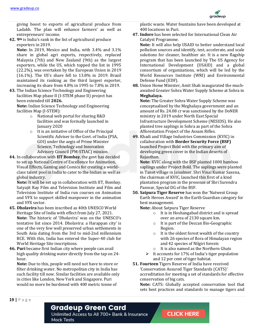

giving boost to exports of agricultural produce from Ladakh. The plan will enhance farmers' as well as entrepreneurs' income.

**42. 9th** is India's rank in the list of agricultural produce exporters in 2019.

**Note:** In 2019, Mexico and India, with 3.4% and 3.1% share in global agri exports, respectively, replaced Malaysia (7th) and New Zealand (9th) as the largest exporters, while the US, which topped the list in 1995 (22.2%), was overtaken by the European Union in 2019 (16.1%). The US's share fell to 13.8% in 2019. Brazil maintained its ranking as the third largest exporter, increasing its share from 4.8% in 1995 to 7.8% in 2019.

**43.** The Indian Science Technology and Engineering facilities Map phase II (I-STEM phase II) project has been extended till **2026.** 

**Note:** Indian Science Technology and Engineering facilities Map (I-STEM):

- o National web portal for sharing R&D facilities and was formally launched in January 2020
- o It is an initiative of Office of the Principal Scientific Adviser to the Govt. of India (PSA, GOI) under the aegis of Prime Minister Science, Technology and Innovation Advisory Council (PM-STIAC) mission.
- **44.** In collaboration with **IIT Bombay**, the govt has decided to set up National Centre of Excellence for Animation, Visual Effects, Gaming and Comics for creating a worldclass talent pool in India to cater to the Indian as well as global industry.

**Note:** It will be set up in collaboration with IIT, Bombay. Satyajit Ray Film and Television Institute and Film and Television Institute of India run courses on Animation and VFX to support skilled manpower in the animation and VFX sector.

- **45. Dholavira** has been inscribed as 40th UNESCO World Heritage Site of India with effect from July 27, 2021. **Note:** The historic of 'Dholavira' was on the UNESCO's tentative list since 2014. Dholavira: a Harappan city' is one of the very few well preserved urban settlements in South Asia dating from the 3rd to mid-2nd millennium BCE. With this, India has entered the Super-40 club for World Heritage Site inscriptions.
- **46. Puri** became first Indian city where people can avail high quality drinking water directly from the tap on 24 hour.

**Note:** Due to this, people will need not have to store or filter drinking water. No metropolitan city in India has such facility till now. Similar facilities are available only in cities like London, New York and Singapore. Puri would no more be burdened with 400 metric tonne of

plastic waste. Water fountains have been developed at 400 locations in Puri.

**47. Indore** has been selected for International Clean Air Catalyst Programme.

**Note:** It will also help USAID to better understand local pollution sources and identify, test, accelerate, and scale solutions for cleaner, healthier air. It is a new flagship program that has been launched by The US Agency for International Development (USAID) and a global consortium of organizations, which will be led by the World Resources Institute (WRI) and Environmental Defense Fund (EDF).

**48.** Union Home Minister, Amit Shah inaugurated the muchawaited Greater Sohra Water Supply Scheme at Sohra in **Meghalaya.** 

**Note:** The Greater Sohra Water Supply Scheme was conceptualised by the Meghalaya government and an amount of Rs. 24.08 cr was sanctioned by the DoNER ministry in 2019 under North East Special Infrastructure Development Scheme (NESIDS). He also planted tree saplings in Sohra as part of the Sohra Afforestation Project of the Assam Rifles.

**49.** Khadi and Village Industries Commission (KVIC) in collaboration with **Border Security Force (BSF)** launched Project Bold with the primary aim of developing green cover in the Indian deserts of Rajasthan.

**Note:** KVIC along with the BSF planted 1000 bamboo saplings under Project Bold. The saplings were planted in Tanot village in Jaisalmer. Shri Vinai Kumar Saxena, the chairman of KVIC, launched this first of a kind plantation program in the presence of Shri Surendra Panwar, Special DG of the BSF.

**50. Satpura Tiger Reserve** has won the 'Natwest Group Earth Heroes Award' in the Earth Guardian category for best management.

**Note:** About Satpura Tiger Reserve

- o It is in Hoshangabad district and is spread over an area of 2130 square km.
- o It is part of the Deccan Bio-Geographic Region.
- o It is the oldest forest wealth of the country with 26 species of flora of Himalayan region and 42 species of Nilgiri forests
- o It is also named as the Northern Ghats
- $\triangleright$  It accounts for 17% of India's tiger population and 12 per cent of tiger habitat.
- **51. Fourteen** Tigers Reserve of India have received 'Conservation Assured Tiger Standards (CATS)' accreditation for meeting a set of standards for effective conservation of big cats.

**Note:** CATS: Globally accepted conservation tool that sets best practices and standards to manage tigers and

#### **Gradeup Green Card**

Unlimited Access to All 700+ Bank & Insurance **Mock Tests**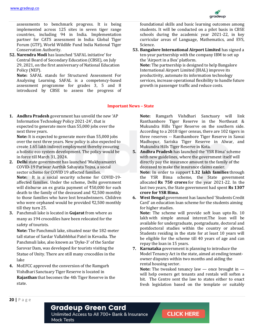

assessments to benchmark progress. It is being implemented across 125 sites in seven tiger range countries, including 94 in India. Implementation partner for CATS assessment in India: Global Tiger Forum (GTF), World Wildlife Fund India National Tiger Conservation Authority.

**52. Narendra Modi** has launched 'SAFAL initiative' for Central Board of Secondary Education (CBSE), on July 29, 2021, on the first anniversary of National Education Policy (NEP).

**Note:** SAFAL stands for Structured Assessment For Analysing Learning. SAFAL is a competency-based assessment programme for grades 3, 5 and 8 introduced by CBSE to assess the progress of foundational skills and basic learning outcomes among students. It will be conducted on a pilot basis in CBSE schools during the academic year 2021-22, in key curricular areas of Language, Mathematics, and EVS, Science.

**53. Bangalore International Airport Limited** has signed a ten-year partnership with the company IBM to set up the 'Airport in a Box' platform. **Note:** The partnership is designed to help Bangalore International Airport Limited (BIAL) improve its

productivity, automate its information technology services, increase operational flexibility to handle future growth in passenger traffic and reduce costs.

#### **Important News – State**

**1. Andhra Pradesh** government has unveild the new 'AP Information Technology Policy 2021-24', that is expected to generate more than 55,000 jobs over the next three years.

**Note:** It is expected to generate more than 55,000 jobs over the next three years. New policy is also expected to create 1.65 lakh indirect employment thereby ensuring a holistic eco system development. The policy would be in force till March 31, 2024.

- **2. Delhi** state government has launched 'Mukhyamantri COVID-19 Pariwar Aarthik Sahayata Yojna, a social sector scheme for COVID 19 affected families. **Note:** It is a social security scheme for COVID-19 affected families. Under the scheme, Delhi government will disburse an ex gratia payment of ₹50,000 for each death to the family of the deceased and ₹2,500 monthly to those families who have lost breadwinners. Children who were orphaned would be provided ₹2,500 monthly till they turn 25.
- **3.** Panchmuli lake is located in **Gujarat** from where as many as 194 crocodiles have been relocated for the safety of tourists.

**Note:** The Panchmuli lake, situated near the 182-meter tall statue of Sardar Vallabhbhai Patel in Kevadia. The Panchmuli lake, also known as 'Dyke-3' of the Sardar Sarovar Dam, was developed for tourists visiting the Statue of Unity. There are still many crocodiles in the lake

**4.** MoEFCC approved the conversion of the Ramgarh Vishdhari Sanctuary Tiger Reserve is located in **Rajasthan** that becomes the 4th Tiger Reserve in the state.

**Note:** Ramgarh Vishdhari Sanctuary will link Ranthambore Tiger Reserve in the Northeast & Mukundra Hills Tiger Reserve on the southern side. According to a 2018 tiger census, there are 102 tigers in three reserves -- Ranthambore Tiger Reserve in Sawai Madhopur, Sariska Tiger Reserve in Alwar, and Mukundra Hills Tiger Reserve in Kota.

- **5. Andhra Pradesh** has launched the 'YSR Bima' scheme with new guidelines, where the government itself will directly pay the insurance amount to the family of the deceased to make the insurance claims easier. **Note:** In order to support **1.32 lakh families** through the YSR Bima scheme, the State government allocated **Rs 750 crores** for the year 2021-22. In the last two years, the State government had spent **Rs 1307 crore for YSR Bima.**
- **6. West Bengal** government has launched 'Students Credit Card' an education loan scheme for the students aiming for higher studies.

**Note:** The scheme will provide soft loan upto Rs. 10 lakh with simple annual interest.The loan will be available for undergraduate, postgraduate, doctoral and postdoctoral studies within the country or abroad. Students residing in the state for at least 10 years will be eligible for the scheme till 40 years of age and can repay the loan in 15 years.

**7. Karnataka** government is planning to introduce the Model Tenancy Act in the state, aimed at ending tenantowner disputes within two months and aiding the rental housing sector.

**Note:** The tweaked tenancy law — once brought in will help owners get tenants and rentals will soften a bit. The Centre sent the law to states either to enact fresh legislation based on the template or suitably

**20 |** P a g e

#### **Gradeup Green Card**

Unlimited Access to All 700+ Bank & Insurance **Mock Tests**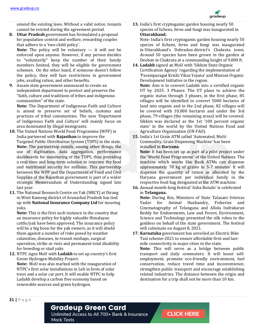

amend the existing laws. Without a valid notice, tenants cannot be evicted during the agreement period.

**8. Uttar Pradesh** government has formulated a proposal for population control and welfare, rewarding couples that adhere to a 'two-child policy'.

**Note:** The policy will be voluntary — it will not be enforced upon anyone. However, if any person decides to "voluntarily" keep the number of their family members limited, they will be eligible for government schemes. On the other hand, if someone doesn't follow the policy, they will face restrictions in government jobs, availing ration, and other benefits.

**9.** Assam state government announced to create an independent department to protect and preserve the "faith, culture and traditions of tribes and indigenous communities" of the state.

**Note:** The Department of Indigenous Faith and Culture is aimed to preserve set of beliefs, customs and practices of tribal communities. The new 'Department of Indigenous Faith and Culture' will mainly focus on area dominated by illegal immigrants.

- **10.** The United Nations World Food Programme (WFP) in India partnered with **Rajasthan** to improve the Targeted Public Distribution System (TDPS) in the state. **Note:** The partnership entails, among other things, the use of digitisation, data aggregation, performance dashboards for monitoring of the TDPS, thus providing a real-time and long-term solution to improve the food and nutritional security for millions. This partnership between the WFP and the Department of Food and Civil Supplies of the Rajasthan government is part of a wider strategic Memorandum of Understanding signed late last year.
- **11.** The National Research Centre on Yak (NRCY) at Dirang in West Kameng district of Arunachal Pradesh has tied up with **National Insurance Company Ltd** for insuring yaks.

**Note:** This is the first such instance in the country that an insurance policy for highly valuable Himalayan cattle/yak have been approved. The insurance policy will be a big boon for the yak owners, as it will shield them against a number of risks posed by weather calamities, diseases, in-transit mishaps, surgical operation, strike or riots and permanent total disability for breeding or stud yaks

**12.** NTPC signs MoU with **Ladakh** to set up country's first Green Hydrogen Mobility Project. **Note:** MoU was also marked with the inauguration of NTPC's first solar installations in Leh in form of solar trees and a solar car port. It will enable NTPC to help Ladakh develop a carbon free economy based on renewable sources and green hydrogen.

**13.** India's first cryptogamic garden housing nearly 50 species of lichens, ferns and fungi was inaugurated in **Uttarakhand.** 

Note: India's first cryptogamic garden housing nearly 50 species of lichens, ferns and fungi was inaugurated in Uttarakhand's Dehradun district's Chakrata town. Around 50 species have been grown in the garden at Deoban in Chakrata at a commanding height of 9,000 ft.

**14. Ladakh** signed an MoU with 'Sikkim State Organic Certification Agency' regarding the implementation of 'Paramparagat Krishi Vikas Yojana' and Mission Organic Development Initiative in the region. **Note:** Aim is to convert Ladakh into a certified organic UT by 2025. 3 Phases: The UT plans to achieve the organic status through 3 phases, in the first phase, 85 villages will be identified to convert 5000 hectares of land into organic and in the 2nd phase, 82 villages will be covered with 10,000 hectares and under the 3rd phase, 79 villages (the remaining areas) will be covered. Sikkim was declared as the 1st '100 percent organic state' in the world by the United Nations Food and Agriculture Organization (UN FAO).

**15.** India's 1st Grain ATM called 'Automated, Multi Commodity, Grain Dispensing Machine' has been installed in **Haryana**.

**Note:** It has been set up as part of a pilot project under the 'World Food Programme' of the United Nations. The machine which works like Bank ATMs can dispense approximately 70 kg of grains in 5-7 minutes' It will dispense the quantity of ration as allocated by the Haryana government per individual family in the respective food bag designated at the ATM machine.

**16.** Annual month-long festival 'Asha Bonalu' is celebrated in **Telangana.**

**Note:** During this, Ministers of State Talasani Srinivas Yadav for Animal Husbandry, Fisheries and Cinematography of Telangana and Allola Indrakaran Reddy for Endowments, Law and Forest, Environment, Science and Technology presented the silk robes to the goddess on behalf of the state government. The festival will culminate on August 8, 2021.

**17. Karnataka** government has unveiled an Electric Bike Taxi scheme-2021 to ensure affordable first-and lastmile connectivity in major cities in the state.

**Note:** This will serve as a bridge between public transport and daily commuters. It will boost selfemployment, promote eco-friendly environment, fuel conservation, reduce travel time and inconvenience, strengthen public transport and encourage establishing related industries. The distance between the origin and destination for a trip shall not be more than 10 km.

**21 |** P a g e

#### **Gradeup Green Card**

Unlimited Access to All 700+ Bank & Insurance **Mock Tests**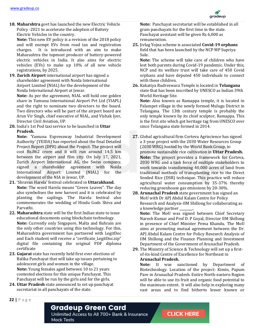

**18. Maharshtra** govt has launched the new Electric Vehicle Policy -2021 to accelerate the adoption of Battery Electric Vehicles in the country.

**Note:** This new EV policy is a revision of the 2018 policy and will exempt EVs from road tax and registration charges. It is introduced with an aim to make Maharashtra the topmost producer of battery-powered electric vehicles in India. It also aims for electric vehicles (EVs) to make up 10% of all new vehicle registrations, by 2025.

**19. Zurich Airport** international airport has signed a shareholder agreement with Noida International Airport Limited (NIAL) for the development of the Noida International Airport at Jewar.

**Note:** As per the agreement, NIAL will hold one golden share in Yamuna International Airport Pvt Ltd (YIAPL) and the right to nominate two directors to the board. Two directors who will be part of the airport board are Arun Vir Singh, chief executive of NIAL, and Vishak Iyer, Director Civil Aviation, UP.

**20.** India's 1st Pod taxi service to be launched in **Uttar Pradesh.**

**Note:** 'Yamuna Expressway Industrial Development Authority' (YEIDA) has reported about the final Detailed Project Report (DPR) about the Project. The project will cost Rs.862 crore and it will run around 14.5 km between the airport and film city. On July 17, 2021, Zurich Airport International AG, the Swiss company, signed a shareholder agreement with Noida International Airport Limited (NIAL) for the development of the NIA in Jewar, UP.

- **21.** 'Shravan Harela' festival celebrated in **Uttarakhand. Note:** The word Harela means "Green Leaves". The day also symbolises the new harvest and it is celebrated by planting the saplings. The Harela festival also commemorates the wedding of Hindu Gods Shiva and Parvathi.
- **22. Maharashtra** state will be the first Indian state to issue educational documents using blockchain technology. **Note:** Currently only Singapore, Malta and Bahrain are the only other countries using this technology. For this, Maharashtra government has partnered with LegitDoc and Each student will receive a "certficate\_LegitDoc.zip" digital file containing the original PDF diploma certificate
- **23. Gujarat** state has recently held first ever elections of Balika Panchayat that will take up issues pertaining to adolescent girls and women in the village. **Note:** Young females aged between 10 to 21 years contested elections for this unique Panchayat. This Panchayat will be run by the girls and for the girls.
- **24. Uttar Pradesh** state announced to set up panchayat secretariat in all panchayats of the state.

**Note:** Panchayat secretariat will be established in all gram panchayats for the first time in the state. Panchayat assistant will be given Rs 6,000 as remuneration.

**25.** Jivlag Yojna scheme is associated **Covid-19 orphans** field that has been launched by the NCP MP Supriya Sule.

**Note:** The scheme will take care of children who have lost both parents during Covid-19 pandemic. Under this, NCP and its welfare trust will take care of 450 Covid orphans and have deputed 450 individuals to connect with these children.

**26.** Kakatiya Rudreswara Temple is located in **Telangana** state that has been inscribed by UNESCO as Indian 39th World Heritage Site.

**Note:** Also known as Ramappa temple, it is located in Palampet village in the newly formed Mulugu District in Telangana. The 13th century temple is probably the only temple known by its chief sculptor, Ramappa. This is the first site which got heritage tag from UNESCO ever since Telangana state formed in 2014.

- **27.** Global agricultural firm Corteva Agriscience has signed a 3-year project with the 2030 Water Resources Group (2030 WRG) hosted by the World Bank Group, to promote sustainable rice cultivation in **Uttar Pradesh. Note:** The project provides a framework for Corteva, 2030 WRG and a task force of multiple stakeholders to work towards transforming 40,000 acres of land from traditional methods of transplanting rice to the Direct Seeded Rice (DSR) technique. This practice will reduce agricultural water consumption by 35-37% thereby reducing greenhouse gas emissions by 20-30%.
- **28. Arunachal Pradesh** state government has signed an MoU with Dr APJ Abdul Kalam Centre for Policy Research and Analysis-IIM Shillong for collaborating as a knowledge partner **\_\_\_\_\_\_\_\_.**

**Note:** The MoU was signed between Chief Secretary Naresh Kumar and Prof D. P Goyal, Director IIM Shillong in presence of Chief Minister Pema Khandu. The MoU aims at promoting mutual agreement between the Dr. APJ Abdul Kalam Centre for Policy Research Analysis of IIM Shillong and the Finance Planning and Investment Department of the Government of Arunachal Pradesh.

**29.** The Ministry of Science & Technology will set up a firstof-its-kind Centre of Excellence for Northeast in **Arunachal Pradesh.** 

**Note:** It was sanctioned by Department of Biotechnology. Location of the project: Kimin, Papum Pare in Arunachal Pradesh. Entire North-eastern Region will be able to use its fruit and organic food potential to the maximum extent. It will also help in exploring many vast areas and to find hitherto lesser known or

**22 |** P a g e

#### **Gradeup Green Card**

Unlimited Access to All 700+ Bank & Insurance **Mock Tests**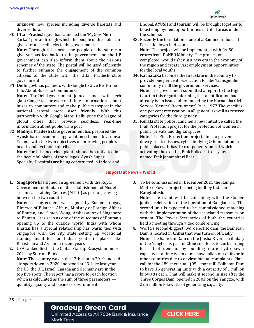

unknown new species including diverse habitats and diverse flora.

**30. Uttar Pradesh** govt has launched the 'MyGov-Meri Sarkar' portal through which the people of the state can give various feedbacks to the government.

**Note:** Through this portal, the people of the state can give various feedbacks to the government and the UP government can also inform them about the various schemes of the state. The portal will be used efficiently to further enhance the engagement of the common citizens of the state with the Uttar Pradesh state government.

**31. Delhi** govt has partners with Google to Give Real-time Info About Buses to Commuters.

**Note:** The Delhi government joined hands with tech giant Google to provide real-time information about buses to commuters and make public transport in the national capital more user friendly. With this partnership with Google Maps, Delhi joins the league of global cities that provide seamless, real-time information about public transport.

**32. Madhya Pradesh** state government has prepared the Ayush-based economic upgradation scheme 'Devaranya Yojana' with the twin objectives of improving people's health and livelihood of tribals.

**Note:** For this, medicinal plants should be cultivated in the beautiful plains of the villages. Ayush Super Specialty Hospitals are being constructed in Indore and

**1. Singapore** has signed an agreement with the Royal Government of Bhutan on the establishment of Model Technical Training Centres (MTTC) as part of growing between the two countries.

**Note:** The agreement was signed by Sonam Tobgay, Director of Bilateral Affairs, Ministry of Foreign Affairs of Bhutan, and Simon Wong, Ambassador of Singapore to Bhutan. It is seen as one of the outcomes of Bhutan's opening up to the outside world. India with whom Bhutan has a special relationship has warm ties with Singapore with the city state setting up vocational training institutes for Indian youth in places like Rajasthan and Assam in recent years.

**2.** USA ranked first in the Global Startup Ecosystem Index 2021 by Startup Blink.

**Note:** The country was in the 17th spot in 2019 and slid six spots down in 2020 and stood at 23. Like last year, the US, the UK, Israel, Canada and Germany are in the top five spots. The report has a score for each location, which is calculated as the sum of three parameters quantity, quality and business environment.

Bhopal. AYUSH and tourism will be brought together to boost employment opportunities in tribal areas under the scheme.

**33.** Recently the foundation stone of a Bamboo Industrial Park laid down in **Assam.**

**Note:** The project will be implemented with Rs. 50 crores from DoNER Ministry. The project, once completed, would usher in a new era in the economy of the region and create vast employment opportunities for the local youths.

- **34. Karnataka** becomes the first state in the country to provide one per cent reservation for the 'transgender community in all the government services. **Note:** The government submitted a report to the High Court in this regard informing that a notification had already been issued after amending the Karnataka Civil Service (General Recruitment) Rule, 1977.The specifies one per cent reservation in all general as well as reserve categories for the third gender.
- **35. Kerala** state police launched a new initiative called the Pink Protection project for the protection of women in public, private and digital spaces. **Note:** The Pink Protection project aims to prevent dowry-related issues, cyber-bullying & humiliation in public places. It has 10 components, one of which is activating the existing Pink Police Patrol system, named Pink Janamaithri Beat.

#### **Important News – World**

**3.** To be commissioned in December 2021 the Rampal Maitree Power project is being built by India in **Bangladesh.**

**Note:** The event will be coinciding with the Golden jubilee celebration of the liberation of Bangladesh. The second unit is expected to be commissioned matching with the implementation of the associated transmission system. The Power Secretaries of both the countries held a meeting through video conferencing

**4.** World's second-biggest hydroelectric dam, the Baihetan Dam is located in **China** that was turn on officially. **Note:** The Baihetan Dam on the Jinsha River, a tributary of the Yangtze, is part of Chinese efforts to curb surging fossil fuel demand by building more hydropower capacity at a time when dams have fallen out of favor in other countries due to environmental complaints. Plans call for the 289-meter-tall (954-foot-tall) Baihetan Dam to have 16 generating units with a capacity of 1 million kilowatts each. That will make it second in size after the Three Gorges Dam, opened in 2003 on the Yangtze, with 22.5 million kilowatts of generating capacity.

**23 |** P a g e

#### **Gradeup Green Card**

Unlimited Access to All 700+ Bank & Insurance **Mock Tests**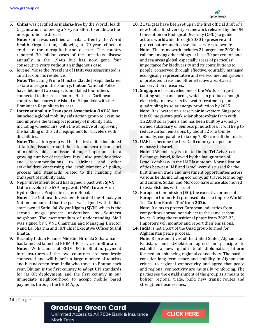

**5. China** was certified as malaria-free by the World Health Organisation, following a 70-year effort to eradicate the mosquito-borne disease.

**Note:** China was certified as malaria-free by the World Health Organisation, following a 70-year effort to eradicate the mosquito-borne disease. The country reported 30 million cases of the infectious disease annually in the 1940s but has now gone four consecutive years without an indigenous case.

**6.** Jovenel Moise the President of **Haiti** was assassinated is an attack on his residence.

**Note:** The acting Prime Minister Claude Joseph declared a state of seige in the country. Haitian National Police have detained two suspects and killed four others connected to the assassination. Haiti is a Caribbean country that shares the island of Hispaniola with the Dominican Republic to its east.

**7. International Air Transport Association (IATA)** has launched a global mobility aids action group to examine and improve the transport journey of mobility aids, including wheelchairs, with the objective of improving the handling of this vital equipment for travelers with disabilities.

**Note:** The action group will be the first of its kind aimed at tackling issues around the safe and secure transport of mobility aids—an issue of huge importance to a growing number of travelers. It will also provide advice and recommendations to airlines and other stakeholders concerning the establishment of policy, process and standards related to the handling and transport of mobility aids.

**8.** Nepal Investment Board has signed a pact with **SJVN Ltd** to develop the 679-megawatt (MW) Lower Arun Hydro Electric Project in eastern Nepal.

**Note:** The National Investment Board of the Himalayan Nation announced that the pact was signed with India's state-owned Satluj Jal Vidyut Nigam (SJVN) which is the second mega project undertaken by Southern neighbour. The memorandum of understanding MoU was signed by SJVNL Chairman and Managing Director Nand Lal Sharma and IBN Chief Executive Officer Sushil Bhatta.

**9.** Recently Indian Finance Minister Nirmala Sitharaman has launched launched BHIM–UPI services in **Bhutan**. **Note:** With launch of BHIM-UPI in Bhutan, payment infrastructures of the two countries are seamlessly connected and will benefit a large number of tourists and businessmen from India who travel to Bhutan each year. Bhutan is the first country to adopt UPI standards for its QR deployment, and the first country in our immediate neighbourhood to accept mobile based payments through the BHIM App.

- **10. 21** targets have been set up in the first official draft of a new Global Biodiversity Framework released by the UN Convention on Biological Diversity (CBD) to guide actions worldwide through 2030 to preserve and protect nature and its essential services to people. **Note:** The framework includes 21 targets for 2030 that call for, among other things, at least 30 per cent of land and sea areas global, especially areas of particular importance for biodiversity and its contributions to people, conserved through effective, equitably managed, ecologically representative and well-connected systems of protected areas and other effective area-based conservation measures.
- **11. Singapore** has unveiled one of the World's largest floating solar panel farms, which can produce enough electricity to power its five water treatment plants quadrupling its solar energy production by 2025. **Note:** It is located on a reservoir in western Singapore. It is 60 megawatt-peak solar photovoltaic farm with 1,22,000 solar panels and has been built by a whollyowned subsidiary of Sembcorp Industries. It will help to reduce carbon emissions by about 32 kilo tonnes annually, comparable to taking 7,000 cars off the roads.
- **12. UAE** has become the first Gulf country to open an embassy in Israel. **Note:** UAE embassy is situated in the Tel Aviv Stock Exchange, Israel, followed by the inauguration of Israel's embassy in the UAE last month. Normalisation of ties between UAE and Israel were discussed for the first time on trade and investment opportunities across various fields, including economy, air travel, technology and culture. Sudan and Morocco have since also moved to establish ties with Israel
- **13.** European Commission (EC), the executive branch of European Union (EU) proposed plans to impose World's 1st 'Carbon Border Tax' from **2026. Note:** It aims to protect European industries from competitors abroad not subject to the same carbon levies. During the transitional phase from 2023-25, Importers will monitor and report their emissions.
- **14. India** is not a part of the Quad group formed for Afghanistan peace process.

**Note:** Representatives of the United States, Afghanistan, Pakistan, and Uzbekistan agreed in principle to establish a new quadrilateral diplomatic platform focused on enhancing regional connectivity. The parties consider long-term peace and stability in Afghanistan critical to regional connectivity and agree that peace and regional connectivity are mutually reinforcing. The parties see the establishment of the group as a means to bolster regional trade, build new transit routes and strengthen business ties.

**24 |** P a g e

#### **Gradeup Green Card**

Unlimited Access to All 700+ Bank & Insurance **Mock Tests**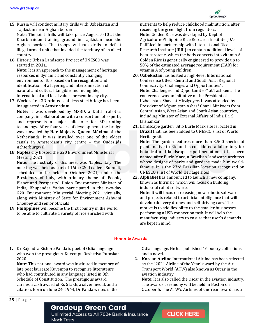**15.** Russia will conduct military drills with Uzbekistan and Tajikistan near Afghan border.

Note: The joint drills will take place August 5-10 at the Kharbmaidon training ground in Tajikistan near the Afghan border. The troops will run drills to defeat illegal armed units that invaded the territory of an allied country.

**16.** Historic Urban Landscape Project of UNESCO was started in **2011.**

**Note:** It is an approach to the management of heritage resources in dynamic and constantly changing environments. It is based on the recognition and identification of a layering and interconnection of natural and cultural, tangible and intangible, international and local values present in any city.

**17.** World's first 3D-printed stainless-steel bridge has been inaugurated in **Amsterdam.**

**Note:** It was developed by MX3D, a Dutch robotics company, in collaboration with a consortium of experts, and represents a major milestone for 3D-printing technology. After four years of development, the bridge was unveiled by **Her Majesty Queen Máxima** of the Netherlands. It was installed over one of the oldest canals in Amsterdam's city centre – the Oudezijds Achterburgwal.

**18. Naples** city hosted the G20 Environment Ministerial Meeting 2021.

**Note:** The host city of this meet was Naples, Italy. The meeting was held as part of 16th G20 Leaders' Summit, scheduled to be held in October 2021, under the Presidency of Italy, with primary theme of 'People, Planet and Prosperity'. Union Environment Minister of India, Bhupender Yadav participated in the two-day G20 Environment Ministerial Meeting 2021 virtually, along with Minister of State for Environment Ashwini Choubey and senior officials

**19. Philippines** will become the first country in the world to be able to cultivate a variety of rice enriched with

nutrients to help reduce childhood malnutrition, after receiving the green light from regulators. **Note:** Golden Rice was developed by Dept of Agriculture-Philippine Rice Research Institute (DA-PhilRice) in partnership with International Rice Research Institute (IRRI) to contain additional levels of beta-carotene, which the body converts into vitamin A. Golden Rice is genetically engineered to provide up to 50% of the estimated average requirement (EAR) for vitamin A of young children.

- **20. Uzbekistan** has hosted a high-level International Conference titled "Central and South Asia: Regional Connectivity. Challenges and Opportunities". **Note:** Challenges and Opportunities" at Tashkent. The conference was an initiative of the President of Uzbekistan, Shavkat Mirziyoyev. It was attended by President of Afghanistan Ashraf Ghani, Ministers from Central Asian, West Asian and South Asian countries, including Minister of External Affairs of India Dr. S. Jaishankar.
- **21.** Landscape garden, Sitio Burle Marx site is located in **Brazil** that has been added to UNESCO's list of World Heritage sites.

**Note:** The garden features more than 3,500 species of plants native to Rio and is considered a laboratory for botanical and landscape experimentation. It has been named after Burle Marx, a Brazilian landscape architect whose designs of parks and gardens made him worldfamous. It is the 23rd Brazilian location recognized on UNESCO's list of World Heritage sites

**22. Alphabet** has announced to launch a new company, known as Intrinsic, which will focus on building industrial robot software.

**Note:** It will focus on releasing new robotic software and projects related to artificial intelligence that will develop delivery drones and self-driving cars. The motive is to add flexibility to the smaller businesses performing a USB connection task. It will help the manufacturing industry to ensure that user's demands are kept in mind.

#### **Honor & Awards**

**1.** Dr Rajendra Kishore Panda is poet of **Odia** language who won the prestigious Kuvempu Rashtriya Puraskar 2020.

**Note:** This national award was instituted in memory of late poet laureate Kuvempu to recognise litterateurs who had contributed in any language listed in 8th Schedule of Constitution. The prestigious award carries a cash award of Rs 5 lakh, a silver medal, and a citation. Born on June 24, 1944, Dr Panda writes in the

Odia language. He has published 16 poetry collections and a novel.

**2. Korean Airline** International Airline has been selected as the "2021 Airline of the Year" award by the Air Transport World (ATW) also known as Oscar in the aviation industry.

**Note:** It is also called the Oscar in the aviation industry. The awards ceremony will be held in Boston on October 5. The ATW's Airlines of the Year award has a

#### **Gradeup Green Card**

Unlimited Access to All 700+ Bank & Insurance **Mock Tests** 

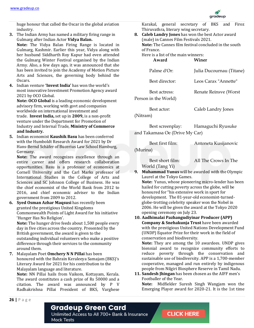

huge honour that called the Oscar in the global aviation industry.

- **3.** The Indian Army has named a military firing range in Gulmarg after Indian Actor **Vidya Balan. Note:** The Vidya Balan Firing Range is located in Gulmarg, Kashmir. Earlier this year, Vidya along with her husband Siddharth Roy Kapur had even attended the Gulmarg Winter Festival organised by the Indian Army. Also, a few days ago, it was announced that she has been invited to join the Academy of Motion Picture Arts and Sciences, the governing body behind the Oscars.
- **4.** Indian venture **'Invest India'** has won the world's most innovative Investment Promotion Agency award 2021 by OCO Global.

**Note: OCO Global** is a leading economic development advisory firm, working with govt and companies worldwide on international investment and trade. **Invest India,** set up in **2009,** is a non-profit venture under the Department for Promotion of Industry and Internal Trade, **Ministry of Commerce and Industry.** 

**5.** Indian economist **Kaushik Basu** has been conferred with the Humboldt Research Award for 2021 by Dr Hans-Bernd Schäfer of Bucerius Law School Hamburg, Germany.

**Note:** The award recognizes excellence through an entire career and offers research collaboration opportunities. Basu is a professor of economics at Cornell University and the Carl Marks professor of International Studies in the College of Arts and Sciences and SC Johnson College of Business. He was the chief economist of the World Bank from 2012 to 2016, and chief economic adviser to the Indian government from 2009 to 2012.

**6. Syed Osman Azhar Maqsusi** has recently been granted the prestigious United Kingdoms Commonwealth Points of Light Award for his initiative 'Hunger Has No Religion'.

**Note:** The hunger drive feeds about 1,500 people every day in five cities across the country. Presented by the British government, the award is given to the outstanding individual volunteers who make a positive difference through their services to the community around them.

**7.** Malayalam Poet **Omchery N N Pillai** has been honoured with the Bahrain Keraleeya Samajam (BKS)'s Literary Award for 2021 for his contribution to the Malayalam language and literature.

**Note:** NN Pillai hails from Vaikom, Kottayam, Kerala. The award constitutes a cash prize of Rs 50000 and a citation. The award was announced by P V Radhakrishna Pillai President of BKS, Varghese

Karakal, general secretary of BKS and Firoz Thiruvathra, literary wing secretary.

**8. Caleb Landry Jones** has won the best Actor award (male) in Cannes Film Festivals 2021. **Note:** The Cannes film festival concluded in the south of France. Here is a list of the main winners:

**Award Winer** 

| Palme d'Or:                           | Julia Ducournau (Titane) |
|---------------------------------------|--------------------------|
| Best director:                        | Leos Carax "Annette"     |
| Best actress:<br>Person in the World) | Renate Reinsve (Worst    |
| Best actor:                           | Caleb Landry Jones       |

(Nitram)

Best screenplay: Hamaguchi Ryusuke and Takamasa Oe (Drive My Car)

Best first film: Antoneta Kusijanovic

(Murina)

Best short film: All The Crows In The World (Tang Yi)

- **9. Muhammad Yunus** will be awarded with the Olympic Laurel at the Tokyo Games. **Note:** Yunus, whose pioneering micro-lender has been hailed for cutting poverty across the globe, will be honoured for "his extensive work in sport for development. The 81-year-old economist-turnedglobe-trotting celebrity speaker won the Nobel in 2006. He will be given the award at the Tokyo 2020 opening ceremony on July 23.
- **10. Aadhimalai Pazhangudiyinar Producer (APP) Company & Snehakunja Trust** have been awarded with the prestigious United Nations Development Fund (UNDP) Equator Prize for their work in the field of conservation and biodiversity.

**Note:** They are among the 10 awardees. UNDP gives biennial award to recognize community efforts to reduce poverty through the conservation and sustainable use of biodiversity. APP is a 1,700-member cooperative, managed and run entirely by indigenous people from Nilgiri Biosphere Reserve in Tamil Nadu.

**11. Sandesh Jhingan** has been chosen as the AIFF men's Footballer of the Year. **Note:** Midfielder Suresh Singh Wangjam won the Emerging Player award for 2020-21. It is the 1st time

#### **Gradeup Green Card**

Unlimited Access to All 700+ Bank & Insurance **Mock Tests**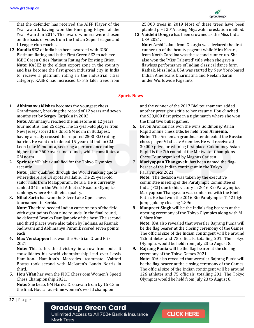

that the defender has received the AIFF Player of the Year award, having won the Emerging Player of the Year Award in 2014. The award winners were chosen on the basis of votes from the Indian Super League and I-League club coaches.

**12. Kandla SEZ** of India has been awarded with IGBC Platinum Rating and is the First Green SEZ to achieve IGBC Green Cities Platinum Rating for Existing Cities. **Note:** KASEZ is the oldest export zone in the country and has become the first green industrial city in India to receive a platinum rating in the industrial cities category. KASEZ has increased to 3.5 lakh trees from

25,000 trees in 2019 Most of these trees have been planted post 2019, using Miyawaki forestation method.

**13. Vaidehi Dongre** has been crowned as the Miss India USA 2021.

**Note:** Arshi Lalani from Georgia was declared the first runner-up of the beauty pageant while Mira Kasari, from North Carolina was the second runner-up. She also won the 'Miss Talented' title when she gave a flawless performance of Indian classical dance form Kathak. Miss India USA was started by New York-based Indian Americans Dharmatma and Neelam Saran under Worldwide Pageants.

#### **Sports News**

**1. Abhimanyu Mishra** becomes the youngest chess Grandmaster, breaking the record of 12 years and seven months set by Sergey Karjakin in 2002.

**Note:** Abhimanyu reached the milestone in 12 years, four months, and 25 days. The 12-year-old player from New Jersey scored his third GM norm in Budapest, having already crossed the required 2500 ELO rating barrier. He went on to defeat 15-year-old Indian GM Leon Luke Mendonca, securing a performance rating higher than 2600 over nine rounds, which constitutes a GM norm.

**2. Sprinter** MP Jabir qualified for the Tokyo Olympics recently.

**Note:** Jabir qualified through the World ranking quota where there are 14 spots available. The 25-year-old sailor hails from Malappuram, Kerala. He is currently ranked 34th in the World Athletics' Road to Olympics rankings where 40 athletes qualify.

**3. Nihal Sarin** has won the Silver Lake Open chess tournament in Serbia.

**Note:** The third-seeded Indian came on top of the field with eight points from nine rounds. In the final round, he defeated Branko Damljanovic of the host. The second and third places were also taken by Indians, as Raunak Sadhwani and Abhimanyu Puranik scored seven points each.

**4. Max Verstappen** has won the Austrian Grand Prix 2021.

**Note:** This is his third victory in a row from pole. It consolidates his world championship lead over Lewis Hamilton. Hamilton's Mercedes teammate Valtteri Bottas took second with McLaren's Lando Norris in third.

**5. Hou Yifan** has won the FIDE Chess.com Women's Speed Chess Championship 2021.

**Note:** She beats GM Harika Dronavalli from by 15-13 in the final. Hou, a four-time women's world champion

and the winner of the 2017 Biel tournament, added another prestigious title to her resume. Hou clinched the \$20,000 first prize in a tight match where she won the final two bullet games.

- **6.** Levon Aronian has won the wins Goldmoney Asian Rapid online chess title, he held from **Armenia. Note:** The Armenian grandmaster defeated the Russian chess player Vladislav Artemiev. He will receive a \$ 30,000 prize for winning first place. Goldmoney Asian Rapid is the 7th round of the Meltwater Champions Chess Tour organized by Magnus Carlsen.
- **7. Mariyappan Thangavelu** has been named the flagbearer of the Indian contingent in the Tokyo Paralympics 2021.

**Note:** The decision was taken by the executive committee meeting of the Paralympic Committee of India (PCI) due to his victory in 2016 Rio Paralympics. Mariyappan Thangavelu was conferred with the Khel Ratna. He had won the 2016 Rio Paralympics T-42 high jump gold by clearing 1.89m.

**8. Manpreet Singh** will be the India's flag bearers at the opening ceremony of the Tokyo Olympics along with M C Mary Kom.

**Note:** IOA also revealed that wrestler Bajrang Punia will be the flag bearer at the closing ceremony of the Games. The official size of the Indian contingent will be around 126 athletes and 75 officials, totalling 201. The Tokyo Olympics would be held from July 23 to August 8.

**9. Bajrang Punia** will be the flag bearer at the closing ceremony of the Tokyo Games 2021. **Note:** IOA also revealed that wrestler Bajrang Punia will be the flag bearer at the closing ceremony of the Games. The official size of the Indian contingent will be around 126 athletes and 75 officials, totalling 201. The Tokyo Olympics would be held from July 23 to August 8.

**27 |** P a g e

#### **Gradeup Green Card**

Unlimited Access to All 700+ Bank & Insurance **Mock Tests**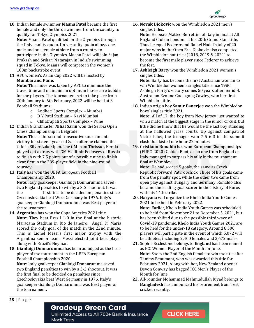

**10.** Indian female swimmer **Maana Patel** became the first female and only the third swimmer from the country to qualify for Tokyo Olympics 2021.

**Note:** Maana Patel qualified for the Olympics through the Universality quota. Universality quota allows one male and one female athlete from a country to participate in the Olympics. Maana Patel will join Sajan Prakash and Srihari Natarajan in India's swimming squad in Tokyo. Maana will compete in the women's 100m backstroke event.

**11.** AFC women's Asian Cup 2022 will be hosted by

#### **Mumbai and Pune.**

**Note:** This move was taken by AFC to minimise the travel time and maintain an optimum bio-secure bubble for the players. The tournament set to take place from 20th January to 6th February, 2022 will be held at 3 Football Stadiums:

- o Andheri Sports Complex Mumbai
- o D Y Patil Stadium Navi Mumbai
- o Chhatrapati Sports Complex Pune
- **12.** Indian Grandmaster **Nihal Sarin** won the Serbia Open Chess Championship in Belgrade.

**Note:** This is the second consecutive tournament victory for sixteen-year old Sarin after he claimed the title in Silver Lake Open. The GM from Thrissur, Kerala played out a draw with GM Vladimir Fedoseev of Russia to finish with 7.5 points out of a possible nine to finish clear first in the 289-player field in the nine-round tourney.

**13. Italy** has won the UEFA European Football Championship 2020.

**Note:** Italy goalkeeper Gianluigi Donnarumma saved two England penalties to win by a 3-2 shootout. It was the first final to be decided on penalties since Czechoslovakia beat West Germany in 1976. Italy's goalkeeper Gianluigi Donnarumma was Best player of the tournament.

- **14. Argentina** has won the Copa America 2021 title. **Note:** They beat Brazil 1-0 in the final at the historic Maracana Stadium in Rio de Janeiro. Angel Di Maria scored the only goal of the match in the 22nd minute. This is Lionel Messi's first major trophy with the Argentina senior team. Messi elected joint best player along with Brazil's Neymar.
- **15. Gianluigi Donnarumma** has been adjudged as the best player of the tournament in the UEFA European Football Championship 2020.

**Note:** Italy goalkeeper Gianluigi Donnarumma saved two England penalties to win by a 3-2 shootout. It was the first final to be decided on penalties since Czechoslovakia beat West Germany in 1976. Italy's goalkeeper Gianluigi Donnarumma was Best player of the tournament.

**16. Novak Djokovic** won the Wimbledon 2021 men's singles titles.

**Note:** He beats Matteo Berrettini of Italy in final at All England Club in London. It his 20th Grand Slam title, Thus he equal Federer and Rafael Nadal's tally of 20 major wins in the Open Era. Djokovic also completed the Wimbledon hat-trick (2018, 2019 & 2021) to become the first male player since Federer to achieve the feat.

**17. Ashleigh Barty** won the Wimbledon 2021 women's singles titles.

**Note:** Barty has become the first Australian woman to win Wimbledon women's singles title since 1980. Ashleigh Barty's victory comes 50 years after her idol, Australian Evonne Goolagong Cawley, won her first Wimbledon title.

**18.** Indian origin boy **Samir Banerjee** won the Wimbledon boys' singles title 2021.

**Note:** All of 17, the boy from New Jersey just wanted to win a match at the biggest stage in the junior circuit, but little did he know that he would be the last boy standing at the hallowed grass courts. Up against compatriot Victor Lilov, the teenager won 7-5 6-3 in the summit clash that lasted one hour 22 minutes.

**19. Cristiano Ronaldo** has won European Championships (EURO 2020) Golden Boot, as no one from England or Italy managed to surpass his tally in the tournament final at Wembley.

**Note:** He had scored 5 goals, the same as Czech Republic forward Patrik Schick. Three of his goals came from the penalty spot, while the other two came from open play against Hungary and Germany. Ronaldo also became the leading goal-scorer in the history of Euros with his 14th strike.

- **20. Haryana** will organize the Khelo India Youth Games 2021 to be held in February 2022. **Note:** Earlier, Khelo India Youth Games was scheduled to be held from November 21 to December 5, 2021, but has been shifted due to the possible third wave of Covid-19 pandemic. Khelo India Youth Games 2021 are to be held for the under-18 category. Around 8,500 players will participate in the event of which 5,072 will be athletes, including 2,400 females and 2,672 males.
- **21.** Sophie Ecclestone belongs to **England** has been named as ICC Women Player of the Month for June. **Note:** She is the 2nd English female to win the title after Tammy Beaumont, who was awarded this title for February 2021. Along with her, New Zealand opener Devon Conway has bagged ICC Men's Player of the Month for June.
- **22.** All-rounder Mohammad Mahmudullah Riyad belongs to **Bangladesh** has announced his retirement from Test cricket recently.

**28 |** P a g e

#### **Gradeup Green Card**

Unlimited Access to All 700+ Bank & Insurance **Mock Tests**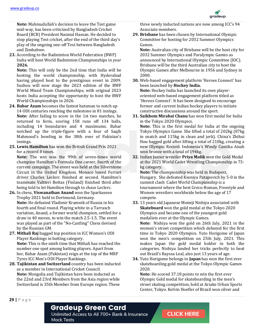

**Note:** Mahmudullah's decision to leave the Test game mid-way, has been criticized by Bangladesh Cricket Board (BCB) President Nazmul Hassan. He decided to stop playing Test cricket, after the end of the third day's play of the ongoing one-off Test between Bangladesh and Zimbabwe.

**23.** According to the Badminton World Federation (BWF) India will host World Badminton Championships in year **2026.**

**Note:** This will only be the 2nd time that India will be hosting the world championship, with Hyderabad having played host to the prestigious event in 2009. Suzhou will now stage the 2023 edition of the BWF World Mixed Team Championships, with original 2023 hosts India accepting the opportunity to host the BWF World Championships in 2026.

- **24. Babar Azam** becomes the fastest batsman to notch up 14 ODI centuries reaching the milestone in 81 innings. **Note:** After failing to score in the 1st two matches, he returned to form, scoring 158 runs off 134 balls, including 14 boundaries and 4 maximums. Babar notched up the triple-figure with a four of Saqib Mahmood's bowling in the 38th over of Pakistan's innings.
- **25. Lewis Hamilton** has won the British Grand Prix 2021 for a record 8 times.

**Note:** The win was the 99th of seven-times world champion Hamilton's Formula One career, fourth of the current campaign. The event was held at the Silverstone Circuit in the United Kingdom. Monaco based Ferrari driver Charles Leclerc finished at second. Hamilton's teammate Valtteri Bottas (Finland) finished third after being told to let Hamilton through to chase Leclerc.

- **26.** In chess, **Viswanathan Anand** won the Sparkassen Trophy 2021 held in Dortmund, Germany. **Note:** He defeated Vladimir Kramnik of Russia in his fourth and final round. Playing white in a Tarrasch variation, Anand, a former world champion, settled for a draw in 40 moves, to win the match 2.5-1.5. The event was played as part of the "No-Castling" Chess devised by the Russian GM.
- **27. Mithali Raj** bagged top position in ICC Women's ODI Player Rankings in batting category. **Note:** This is the ninth time that Mithali has reached the number one spot among batting players. Apart from her, Babar Azam (Pakistan) reign at the top of the MRF Tyres ICC Men's ODI Player Rankings.
- **28. Tajikistan and Switzerland** country has been inducted as a member in International Cricket Council. **Note:** Mongolia and Tajikistan have been inducted as the 22nd and 23rd Members from the Asia region while Switzerland is 35th Member from Europe region. These

three newly inducted nations are now among ICC's 94 Associate members.

**29. Brisbane** has been chosen by International Olympic Committee for hosting for 2032 Summer Olympics Games.

**Note:** Australian city of Brisbane will be the host city for 2032 Summer Olympics and Paralympic Games as announced by International Olympic Committee (IOC). Brisbane will be the third Australian city to host the Olympic Games after Melbourne in 1956 and Sydney in 2000.

- **30.** Web-based engagement platform 'Heroes Connect' has been launched by **Hockey India. Note:** Hockey India has launched its own playeroriented web-based engagement platform titled as 'Heroes Connect'. It has been designed to encourage former and current Indian hockey players to initiate constructive discussions around the sport.
- **31. Saikhom Mirabai Chanu** has won first medal for India in the Tokyo 2020 Olympics. **Note:** This is the first medal for India at the ongoing Tokyo Olympics Game. She lifted a total of 202kg (87kg in snatch and 115kg in clean and jerk). China's Zhihui Hou bagged gold after lifting a total of 210kg, creating a new Olympic Record. Indonesia's Windy Cantika Aisah
- won bronze with a total of 194kg. **32.** Indian Junior wrestler **Priya Malik** won the Gold Medal at the 2021 World Cadet Wrestling Championship in 73 kg category. **Note:** The championship was held in Budapest, Hungary. She defeated Kseniya Patapovich by 5-0 in the summit clash Cadet World Championship is a tournament where the best Greco-Roman, Freestyle and Women wrestlers worldwide below the age of 17
- compete. **33.** 13 years old Japanese Momiji Nishiya associated with **Skateboard** won the gold medal at the Tokyo 2020 Olympics and became one of the youngest gold medalists ever at the Olympic Games. **Note:** Nishiya won the gold on 26th July, 2021 in the women's street competition which debuted for the first time in Tokyo 2020 Olympics. Yuto Horigome of Japan won the men's competition on 25th July, 2021. This makes Japan the gold medal holder in both the categories. Nishiya landed her tricks perfectly to beat out Brazil's Rayssa Leal, also just 13 years of age.
- **34.** Yuto Horigome belongs to **Japan** has won the first ever skateboarding gold medal at the Tokyo Olympic Games 2020.

**Note:** He scored 37.18 points to win the first ever Olympic Gold medal for skateboarding in the men's street skating competition, held at Ariake Urban Sports Center, Tokyo. Kelvin Hoefler of Brazil won silver and

#### **Gradeup Green Card**

Unlimited Access to All 700+ Bank & Insurance **Mock Tests**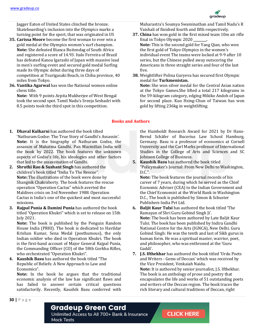

Jagger Eaton of United States clinched the bronze. Skateboarding's inclusion into the Olympics marks a turning point for the sport, that was originated in US

- **35. Carissa Moore** become the first woman to ever win a gold medal at the Olympics women's surf champion. **Note:** She defeated Bianca Buitendag of South Africa and registered a score of 14.93. Italo Ferreira of Brazil has defeated Kanoa Igarashi of Japan with massive lead in men's surfing event and secured gold medal Surfing made its Olympic debut during three days of competition at Tsurigasaki Beach, in Chiba province, 40 miles from Tokyo.
- **36. Vantika Agarwal** has won the National women online chess title.

**Note:** With 9 points Arpita Mukherjee of West Bengal took the second spot. Tamil Nadu's Sreeja Seshadri with 8.5 points took the third spot in this competition.

Maharastra's Soumya Swaminathan and Tamil Nadu's R Vaishali of finished fourth and fifth respectively.

- **37. China** has won gold in the first mixed team 10m air rifle final in Tokyo Olympic 2020 **\_\_\_\_\_\_\_\_. Note:** This is the second gold for Yang Qian, who won the first gold of Tokyo Olympics in the women's individual event The teams were locked at 9-9 after 10 series, but the Chinese pulled away outscoring the Americans in three straight series and four of the last five.
- **38.** Weightlifter Polina Guryeva has secured first Olympic medal for **Turkmenistan. Note:** She won silver medal for the Central Asian nation at the Tokyo Games.She lifted a total 217 kilograms in the 59-kilogram category, edging Mikiko Andoh of Japan for second place. Kuo Hsing-Chun of Taiwan has won

gold by lifting 236kg in weightlifting.

#### **Books and Authors**

- **1. Dhaval Kulkarni** has authored the book tilted 'Nathuram Godse: The True Story of Gandhi's Assassin'. **Note:** It is the biography of Nathuram Godse, the assassin of Mahatma Gandhi. Pan Macmillan India will the book by 2022. The book features the unknown aspects of Godse's life, his ideologies and other factors that led to the assassination of Gandhi.
- **2. Shruthi Rao & Sushant Singh** has authored the children's book titled "India To The Rescue". **Note:** The illustrations of the book were done by Shangnik Chakraborty. The book features the rescue operation "Operation Cactus" which averted the Maldives crisis on 3rd November 1988. Operation Cactus is India's one of the quickest and most successful missions.
- **3. Rajpal Punia & Damini Punia** has authored the book titled "Operation Khukri" which is set to release on 15th July 2021.

**Note:** The book is published by the Penguin Random House India (PRHI). The book is dedicated to Havildar Krishan Kumar, Sena Medal (posthumous), the only Indian soldier who died in Operation Khukri. The book is the first-hand account of Major General Rajpal Punia, the Commanding Officer (CO) of the 58th Gorkha Rifles, who orchestrated "Operation Khukri".

**4. Kaushik Basu** has authored the book titled "The Republic of Beliefs: A New Approach to Law and Economics".

**Note:** In the book he argues that the traditional economic analysis of the law has significant flaws and has failed to answer certain critical questions satisfactorily. Recently, Kaushik Basu conferred with the Humboldt Research Award for 2021 by Dr Hans-Bernd Schäfer of Bucerius Law School Hamburg, Germany. Basu is a professor of economics at Cornell University and the Carl Marks professor of International Studies in the College of Arts and Sciences and SC Johnson College of Business.

**5. Kaushik Basu** has authored the book titled "Policymaker's Journal: From New Delhi to Washington, D.C.".

**Note:** The book features the journal records of his career of 7 years, during which he served as the Chief Economic Adviser (CEA) to the Indian Government and the Chief Economist at the World Bank in Washington D.C., The book is published by Simon & Schuster Publishers India Pvt Ltd.

- **6. Baljit Kaur Tulsi** has authored the book titled 'The Ramayan of Shri Guru Gobind Singh Ji'. **Note:** The book has been authored by Late Baljit Kaur Tulsi. The book has been published by Indira Gandhi National Centre for the Arts (IGNCA), New Delhi. Guru Gobind Singh: He was the tenth and last of Sikh gurus in human form. He was a spiritual master, warrior, poet, and philosopher, who was enthroned at the 'Guru Gaddi'.
- **7. J.S. Ifthekhar** has authored the book titled 'Urdu Poets and Writers - Gems of Deccan' which was received by the Vice President, Venkaiah Naidu. **Note:** It is authored by senior journalist, J.S. Ifthekhar. The book is an anthology of prose and poetry that encapsulates the life and works of 51 outstanding poets and writers of the Deccan region. The book traces the rich literary and cultural traditions of Deccan, right

#### **Gradeup Green Card**

Unlimited Access to All 700+ Bank & Insurance **Mock Tests**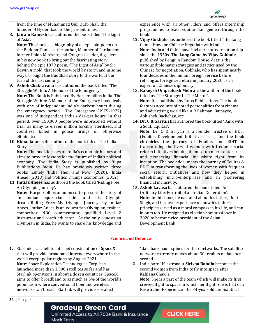from the time of Muhammad Quli Qutb Shah, the founder of Hyderabad, to the present times.

**8. Jairam Ramesh** has authored the book titled 'The Light of Asia'.

**Note:** This book is a biography of an epic bio-poem on the Buddha. Ramesh, the author, Member of Parliament, former Union Minister, and Congress leader, digs deep in his new book to bring out the fascinating story behind the epic 1879 poem, "The Light of Asia" by Sir Edwin Arnold, that took the world by storm and in some ways, brought the Buddha's story to the world at the turn of the last century.

- **9. Ashok Chakravarti** has authored the book titled "The Struggle Within: A Memoir of the Emergency". **Note:** The Book is Published By Harpercollins India. The Struggle Within: A Memoir of the Emergency book deals with one of independent India's darkest hours during the emergency period. The Emergency (1975-1977) was one of independent India's darkest hours. In that period, over 150,000 people were imprisoned without trial; as many as eleven million forcibly sterilized, and countless killed in police firings or otherwise eliminated.
- **10. Bimal Jalan** is the author of the book titled 'The India Story'.

**Note:** The book focuses on India's economic history and aims to provide lessons for the future of India's political economy. The India Story is published by Rupa Publications India. He has previously written three books namely 'India Then and Now' (2020), 'India Ahead' (2018) and 'Politics Trumps Economics' (2012).

**11. Imtiaz Anees** has authored the book titled 'Riding Free: An Olympic Journey**'.** 

**Note:** HarperCollins announced to present the story of an Indian equestrian rider and his Olympic dream 'Riding Free: My Olympic Journey' by Imtiaz Anees. Imtiaz Anees is an equestrian Olympian, trainer, competitor, NBC commentator, qualified Level 2 instructor and coach educator. As the only equestrian Olympian in India, he wants to share his knowledge and

experience with all other riders and offers internship programmes to teach equine management through the book.

- **12. Vijay Gokhale** has authored the book titled "The Long Game: How the Chinese Negotiate with India". **Note:** India and China have had a fractured relationship since the 1950s. **The Long Game by Vijay Gokhale**, published by Penguin Random House, details the various diplomatic strategies and tactics used by the Chinese for negotiation. Gokhale, who has spent nearly four decades in the Indian Foreign Service before retiring as foreign secretary in January 2020, is an expert on Chinese diplomacy.
- **13. Rakeysh Omprakash Mehra** is the author of the book titled as 'The Stranger In The Mirror'. **Note:** It is published by Rupa Publications. The book features accounts of noted personalities from cinema and advertising world like A R Rahman, Bajpayee, Abhishek Bachchan, etc.
- **14. Dr. C K Garyali** has authored the book tilted 'Bank with a Soul: Equitas'.

**Note:** Dr. C K Garyali is a founder trustee of EDIT (Equitas Development Initiative Trust) and the book chronicles the journey of Equitas and EDIT in transforming the lives of women with frequent social reform initiatives helping them setup micro-enterprises and pioneering financial inclusivity right from its inception. The book documents the journey of Equitas & EDIT in transforming the lives of women with frequent social reform initiatives and how they helped in establishing micro-enterprises and in pioneering financial inclusivity.

**15. Ashok Lavasa** has authored the book tilted 'An Ordinary Life: Portrait of an Indian Generation'. **Note:** In this book, he narrated about his father, Udai Singh, and his own experience on how his father's principles served as a moral compass in his life, and can in ours too. He resigned as election commissioner in 2020 to become vice-president of the Asian Development Bank

#### **Science and Defence**

**1.** Starlink is a satellite internet constellation of **SpaceX** that will provide broadband internet everywhere in the world except polar regions by August 2021. **Note:** Space Exploration Technologies Corp. has launched more than 1,500 satellites so far and has Starlink operations in about a dozen countries. SpaceX aims to offer broadband to as much as 5% of the world's population where conventional fiber and wireless networks can't reach. Starlink will provide so-called

"data back haul" spines for their networks. The satellite network currently moves about 30 terabits of data per second.

**2.** India born US astronaut **Sirisha Bandla** becomes the second women from India to fly into space after Kalpana Chawla.

**Note:** She is a part of the team which will make its first crewed flight to space in which her flight role is that of a Researcher Experience. The 34-year-old aeronautical

#### **Gradeup Green Card**

Unlimited Access to All 700+ Bank & Insurance **Mock Tests** 

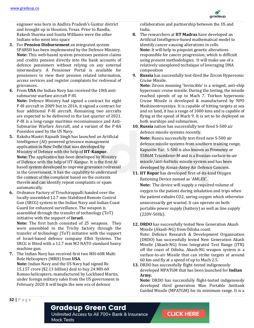

engineer was born in Andhra Pradesh's Guntur district and brought up in Houston, Texas. Prior to Bandla, Rakesh Sharma and Sunita Williams were the other Indians who went into space

- **3.** For **Pension Disbursement** an integrated system SPARSH has been implemented by the Defence Ministry. **Note:** This web-based system processes pension claims and credits pension directly into the bank accounts of defence pensioners without relying on any external intermediary. A Pensioner Portal is available for pensioners to view their pension related information, access services and register complaints for redressal of grievances.
- **4.** From **USA** the Indian Navy has received the 10th antisubmarine warfare aircraft P-8I.

**Note:** Defence Ministry had signed a contract for eight P-8I aircraft in 2009 but in 2016, it signed a contract for four additional P-8I aircraft. Remaining two aircrafts are expected to be delivered in the last quarter of 2021. P-8I is a long-range maritime reconnaissance and Anti-Submarine Warfare Aircraft, and a variant of the P-8A Poseidon used by the US Navy.

- **5.** Raksha Mantri Rajnath Singh has launched an Artificial Intelligence (AI)-powered grievance management application in New Delhi that was developed by Ministry of Defence with the help of **IIT-Kanpur. Note:** The application has been developed by Ministry of Defence with the help of IIT-Kanpur. It is the first AI based system developed to improve grievance redressal in the Government. It has the capability to understand the content of the complaint based on the contents therein and can identify repeat complaints or spam automatically.
- **6.** Ordnance Factory of Tiruchirappalli handed over the locally assembled 12.7 mm Stabilized Remote Control Gun (SRCG) system to the Indian Navy and Indian Coast Guard for enhanced surveillance. The weapon is assembled through the transfer of technology (ToT) initiative with the support of **Israel. Note:** The first batch consisted of 25 weapons. They were assembled in the Trichy factory through the transfer of technology (ToT) initiative with the support of Israel-based defence company Elbit Systems. The SRCG is fitted with a 12.7 mm M2 NATO standard heavy
- machine gun. **7.** The Indian Navy has received first two MH-60R Multi Role Helicopters (MRH) from **USA**. **Note:** Indian Navy and the US Navy had signed Rs 15,157 crore (\$2.13 billion) deal to buy 24 MH-60 Romeo helicopters, manufactured by Lockheed Martin, under foreign military sales from the US government in February 2020 It will begin the new era of defence

collaboration and partnership between the US and India.

- **8.** The researchers at **IIT Madras** have developed an Artificial Intelligence-based mathematical model to identify cancer-causing alterations in cells. **Note:** It will help to pinpoint genetic alterations responsible for cancer progression, which is difficult using present methodologies. It will make use of a relatively unexplored technique of leveraging DNA composition
- **9. Russia** has successfully test-fired the Zircon Hypersonic Cruise Missile.

**Note:** Zircon meaning 'Invincible' is a winged, anti-ship hypersonic cruise missile. During the testing, the missile reached speeds of up to Mach 7. Tsirkon hypersonic Cruise Missile is developed & manufactured by NPO Mashinostroyeniya. It is capable of hitting targets at sea and on land, it has a range of 1000 kms and is capable of flying at the speed of Mach 9. It is set to be deployed on both warships and submarines.

- **10. Russia** nation has successfully test-fired S-500 air defence missile systems recently. **Note:** Russia successfully test-fired new S-500 air defence missile systems from southern training range, Kapustin Yar. S-500 is also known as Prometey or 55R6M Triumfator-M and is a Russian surface-to-air missile/anti-ballistic missile system and has been developed by Almaz-Antey Air Defence Concern.
- **11. IIT Ropar** has developed first-of-its-kind Oxygen Rationing Device named as 'AMLEX'. **Note:** The device will supply a required volume of oxygen to the patient during inhalation and trips when the patient exhales CO2, saving oxygen which otherwise unnecessarily get wasted. It can operate on both portable power supply (battery) as well as line supply (220V-50Hz).
- **12. DRDO** has successfully tested New Generation Akash Missile (Akash-NG) from Odisha coast. Note: Defence Research & Development Organisation (DRDO) has successfully tested New Generation Akash Missile (Akash-NG) from Integrated Test Range (ITR) off the coast of Odisha. Akash-NG weapon system is a surface-to-air Missile that can strike targets at around 60 km and fly at a speed of up to Mach 2.5.
- **13.** DRDO has successfully flight-tested indigenously developed MPATGM that has been launched for **Indian Army.**

**Note:** DRDO has successfully flight-tested indigenously developed third generation Man Portable Antitank Guided Missile (MPATGM) for its minimum range. It is a

**32 |** P a g e

#### **Gradeup Green Card**

Unlimited Access to All 700+ Bank & Insurance **Mock Tests**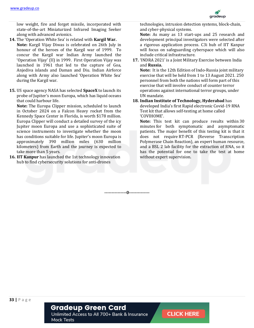

low weight, fire and forget missile, incorporated with state-of-the-art Miniaturized Infrared Imaging Seeker along with advanced avionics.

- **14.** The 'Operation White Sea' is related with **Kargil War. Note:** Kargil Vijay Diwas is celebrated on 26th July in honour of the heroes of the Kargil war of 1999. To concur the Kargil war Indian Army launched the 'Operation Vijay' (II) in 1999. First Operation Vijay was launched in 1961 that led to the capture of Goa, Anjediva islands and Daman and Diu. Indian Airforce along with Army also launched 'Operation White Sea' during the Kargil war.
- **15.** US space agency NASA has selected **SpaceX** to launch its probe of Jupiter's moon Europa, which has liquid oceans that could harbour life.

**Note:** The Europa Clipper mission, scheduled to launch in October 2024 on a Falcon Heavy rocket from the Kennedy Space Center in Florida, is worth \$178 million. Europa Clipper will conduct a detailed survey of the icy Jupiter moon Europa and use a sophisticated suite of science instruments to investigate whether the moon has conditions suitable for life. Jupiter's moon Europa is approximately 390 million miles (630 million kilometers) from Earth and the journey is expected to take more than 5 years.

**16. IIT Kanpur** has launched the 1st technology innovation hub to find cybersecurity solutions for anti-drones

technologies, intrusion detection systems, block-chain, and cyber-physical systems.

**Note:** As many as 13 start-ups and 25 research and development principal investigators were selected after a rigorous application process. C3i hub of IIT Kanpur will focus on safeguarding cyberspace which will also include critical infrastructure.

**17.** 'INDRA 2021' is a Joint Military Exercise between India and **Russia.**

**Note:** It is the 12th Edition of Indo-Russia joint military exercise that will be held from 1 to 13 August 2021. 250 personnel from both the nations will form part of this exercise that will involve conduct of counter terror operations against international terror groups, under UN mandate.

**18. Indian Institute of Technology, Hyderabad** has developed India's first Rapid electronic Covid-19 RNA Test kit that allows self-testing at home called 'COVIHOME'.

**Note:** This test kit can produce results within 30 minutes for both symptomatic and asymptomatic patients. The major benefit of this testing kit is that it does not require RT-PCR (Reverse Transcription Polymerase Chain Reaction), an expert human resource, and a BSL 2 lab facility for the extraction of RNA, so it has the potential for one to take the test at home without expert supervision.

**---------------0--------------**

### **Gradeup Green Card**

Unlimited Access to All 700+ Bank & Insurance **Mock Tests**